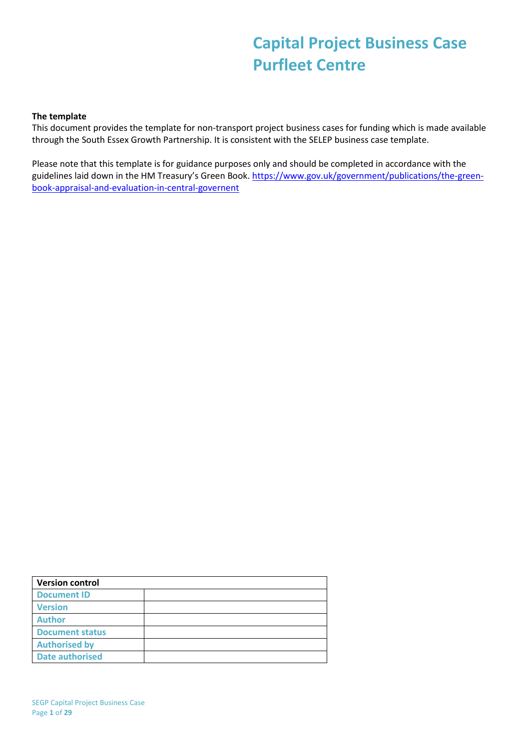# **Capital Project Business Case Purfleet Centre**

#### **The template**

This document provides the template for non-transport project business cases for funding which is made available through the South Essex Growth Partnership. It is consistent with the SELEP business case template.

Please note that this template is for guidance purposes only and should be completed in accordance with the guidelines laid down in the HM Treasury's Green Book. [https://www.gov.uk/government/publications/the-green](https://www.gov.uk/government/publications/the-green-book-appraisal-and-evaluation-in-central-governent)[book-appraisal-and-evaluation-in-central-governent](https://www.gov.uk/government/publications/the-green-book-appraisal-and-evaluation-in-central-governent)

<span id="page-0-0"></span>

| <b>Version control</b> |  |
|------------------------|--|
| <b>Document ID</b>     |  |
| <b>Version</b>         |  |
| <b>Author</b>          |  |
| <b>Document status</b> |  |
| <b>Authorised by</b>   |  |
| <b>Date authorised</b> |  |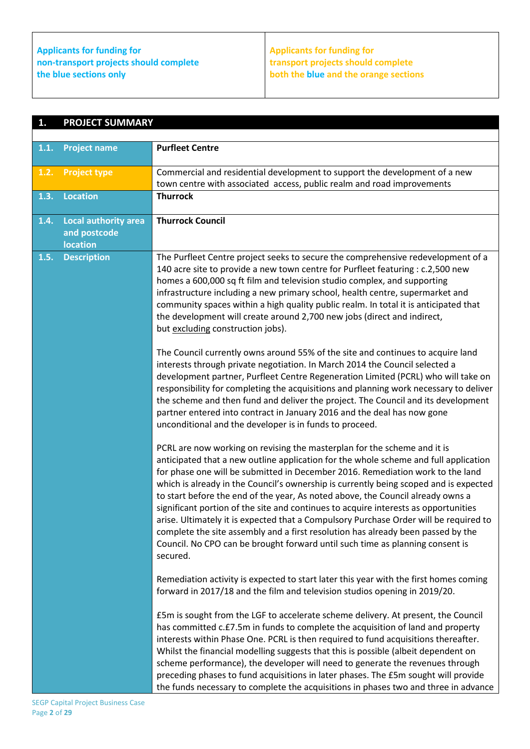**Applicants for funding for non-transport projects should complete the blue sections only**

## **Applicants for funding for transport projects should complete both the blue and the orange sections**

| 1.   | <b>PROJECT SUMMARY</b>                                         |                                                                                                                                                                                                                                                                                                                                                                                                                                                                                                                                                                                                                                                                                                                                                                                                 |
|------|----------------------------------------------------------------|-------------------------------------------------------------------------------------------------------------------------------------------------------------------------------------------------------------------------------------------------------------------------------------------------------------------------------------------------------------------------------------------------------------------------------------------------------------------------------------------------------------------------------------------------------------------------------------------------------------------------------------------------------------------------------------------------------------------------------------------------------------------------------------------------|
| 1.1. |                                                                | <b>Purfleet Centre</b>                                                                                                                                                                                                                                                                                                                                                                                                                                                                                                                                                                                                                                                                                                                                                                          |
|      | <b>Project name</b>                                            |                                                                                                                                                                                                                                                                                                                                                                                                                                                                                                                                                                                                                                                                                                                                                                                                 |
| 1.2. | <b>Project type</b>                                            | Commercial and residential development to support the development of a new                                                                                                                                                                                                                                                                                                                                                                                                                                                                                                                                                                                                                                                                                                                      |
|      |                                                                | town centre with associated access, public realm and road improvements                                                                                                                                                                                                                                                                                                                                                                                                                                                                                                                                                                                                                                                                                                                          |
| 1.3. | <b>Location</b>                                                | <b>Thurrock</b>                                                                                                                                                                                                                                                                                                                                                                                                                                                                                                                                                                                                                                                                                                                                                                                 |
| 1.4. | <b>Local authority area</b><br>and postcode<br><b>location</b> | <b>Thurrock Council</b>                                                                                                                                                                                                                                                                                                                                                                                                                                                                                                                                                                                                                                                                                                                                                                         |
| 1.5. | <b>Description</b>                                             | The Purfleet Centre project seeks to secure the comprehensive redevelopment of a<br>140 acre site to provide a new town centre for Purfleet featuring : c.2,500 new<br>homes a 600,000 sq ft film and television studio complex, and supporting<br>infrastructure including a new primary school, health centre, supermarket and<br>community spaces within a high quality public realm. In total it is anticipated that<br>the development will create around 2,700 new jobs (direct and indirect,<br>but excluding construction jobs).                                                                                                                                                                                                                                                        |
|      |                                                                | The Council currently owns around 55% of the site and continues to acquire land<br>interests through private negotiation. In March 2014 the Council selected a<br>development partner, Purfleet Centre Regeneration Limited (PCRL) who will take on<br>responsibility for completing the acquisitions and planning work necessary to deliver<br>the scheme and then fund and deliver the project. The Council and its development<br>partner entered into contract in January 2016 and the deal has now gone<br>unconditional and the developer is in funds to proceed.                                                                                                                                                                                                                         |
|      |                                                                | PCRL are now working on revising the masterplan for the scheme and it is<br>anticipated that a new outline application for the whole scheme and full application<br>for phase one will be submitted in December 2016. Remediation work to the land<br>which is already in the Council's ownership is currently being scoped and is expected<br>to start before the end of the year, As noted above, the Council already owns a<br>significant portion of the site and continues to acquire interests as opportunities<br>arise. Ultimately it is expected that a Compulsory Purchase Order will be required to<br>complete the site assembly and a first resolution has already been passed by the<br>Council. No CPO can be brought forward until such time as planning consent is<br>secured. |
|      |                                                                | Remediation activity is expected to start later this year with the first homes coming<br>forward in 2017/18 and the film and television studios opening in 2019/20.<br>£5m is sought from the LGF to accelerate scheme delivery. At present, the Council<br>has committed c.£7.5m in funds to complete the acquisition of land and property<br>interests within Phase One. PCRL is then required to fund acquisitions thereafter.<br>Whilst the financial modelling suggests that this is possible (albeit dependent on<br>scheme performance), the developer will need to generate the revenues through<br>preceding phases to fund acquisitions in later phases. The £5m sought will provide<br>the funds necessary to complete the acquisitions in phases two and three in advance           |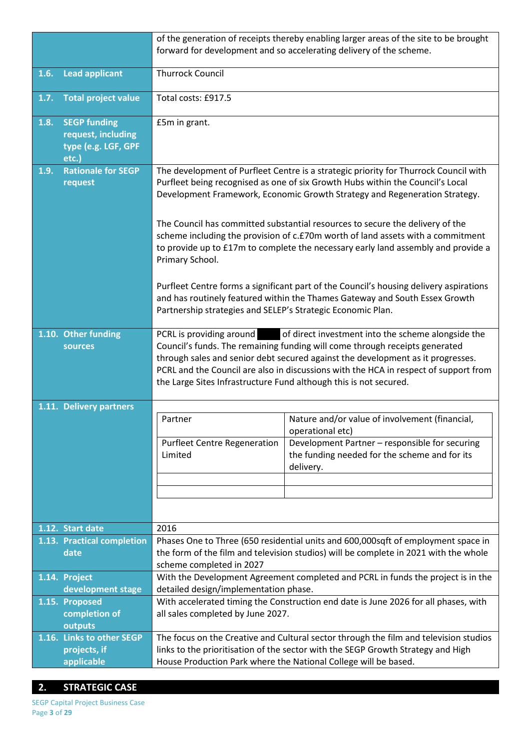|      |                                                                           | of the generation of receipts thereby enabling larger areas of the site to be brought<br>forward for development and so accelerating delivery of the scheme.                                                                                                                                                                                                                                               |                                                                                                                                                                                                                                                       |  |  |
|------|---------------------------------------------------------------------------|------------------------------------------------------------------------------------------------------------------------------------------------------------------------------------------------------------------------------------------------------------------------------------------------------------------------------------------------------------------------------------------------------------|-------------------------------------------------------------------------------------------------------------------------------------------------------------------------------------------------------------------------------------------------------|--|--|
| 1.6. | <b>Lead applicant</b>                                                     | <b>Thurrock Council</b>                                                                                                                                                                                                                                                                                                                                                                                    |                                                                                                                                                                                                                                                       |  |  |
| 1.7. | <b>Total project value</b>                                                | Total costs: £917.5                                                                                                                                                                                                                                                                                                                                                                                        |                                                                                                                                                                                                                                                       |  |  |
| 1.8. | <b>SEGP funding</b><br>request, including<br>type (e.g. LGF, GPF<br>etc.) | £5m in grant.                                                                                                                                                                                                                                                                                                                                                                                              |                                                                                                                                                                                                                                                       |  |  |
| 1.9. | <b>Rationale for SEGP</b><br>request                                      | The development of Purfleet Centre is a strategic priority for Thurrock Council with<br>Purfleet being recognised as one of six Growth Hubs within the Council's Local<br>Development Framework, Economic Growth Strategy and Regeneration Strategy.                                                                                                                                                       |                                                                                                                                                                                                                                                       |  |  |
|      |                                                                           | Primary School.                                                                                                                                                                                                                                                                                                                                                                                            | The Council has committed substantial resources to secure the delivery of the<br>scheme including the provision of c.£70m worth of land assets with a commitment<br>to provide up to £17m to complete the necessary early land assembly and provide a |  |  |
|      |                                                                           | Purfleet Centre forms a significant part of the Council's housing delivery aspirations<br>and has routinely featured within the Thames Gateway and South Essex Growth<br>Partnership strategies and SELEP's Strategic Economic Plan.                                                                                                                                                                       |                                                                                                                                                                                                                                                       |  |  |
|      | 1.10. Other funding<br>sources                                            | PCRL is providing around of direct investment into the scheme alongside the<br>Council's funds. The remaining funding will come through receipts generated<br>through sales and senior debt secured against the development as it progresses.<br>PCRL and the Council are also in discussions with the HCA in respect of support from<br>the Large Sites Infrastructure Fund although this is not secured. |                                                                                                                                                                                                                                                       |  |  |
|      | 1.11. Delivery partners                                                   | Partner                                                                                                                                                                                                                                                                                                                                                                                                    | Nature and/or value of involvement (financial,<br>operational etc)                                                                                                                                                                                    |  |  |
|      |                                                                           | <b>Purfleet Centre Regeneration</b><br>Development Partner - responsible for securing<br>the funding needed for the scheme and for its<br>Limited<br>delivery.                                                                                                                                                                                                                                             |                                                                                                                                                                                                                                                       |  |  |
|      |                                                                           |                                                                                                                                                                                                                                                                                                                                                                                                            |                                                                                                                                                                                                                                                       |  |  |
|      | 1.12. Start date                                                          | 2016                                                                                                                                                                                                                                                                                                                                                                                                       |                                                                                                                                                                                                                                                       |  |  |
|      | 1.13. Practical completion<br>date                                        | Phases One to Three (650 residential units and 600,000sqft of employment space in<br>the form of the film and television studios) will be complete in 2021 with the whole                                                                                                                                                                                                                                  |                                                                                                                                                                                                                                                       |  |  |
|      |                                                                           | scheme completed in 2027                                                                                                                                                                                                                                                                                                                                                                                   |                                                                                                                                                                                                                                                       |  |  |
|      | 1.14. Project                                                             |                                                                                                                                                                                                                                                                                                                                                                                                            | With the Development Agreement completed and PCRL in funds the project is in the                                                                                                                                                                      |  |  |
|      | development stage                                                         | detailed design/implementation phase.                                                                                                                                                                                                                                                                                                                                                                      |                                                                                                                                                                                                                                                       |  |  |
|      | 1.15. Proposed<br>completion of                                           | all sales completed by June 2027.                                                                                                                                                                                                                                                                                                                                                                          | With accelerated timing the Construction end date is June 2026 for all phases, with                                                                                                                                                                   |  |  |
|      | outputs                                                                   |                                                                                                                                                                                                                                                                                                                                                                                                            |                                                                                                                                                                                                                                                       |  |  |
|      | 1.16. Links to other SEGP                                                 |                                                                                                                                                                                                                                                                                                                                                                                                            | The focus on the Creative and Cultural sector through the film and television studios                                                                                                                                                                 |  |  |
|      | projects, if                                                              |                                                                                                                                                                                                                                                                                                                                                                                                            | links to the prioritisation of the sector with the SEGP Growth Strategy and High                                                                                                                                                                      |  |  |
|      | applicable                                                                |                                                                                                                                                                                                                                                                                                                                                                                                            | House Production Park where the National College will be based.                                                                                                                                                                                       |  |  |

## **2. STRATEGIC CASE**

SEGP Capital Project Business Case Page **3** of **29**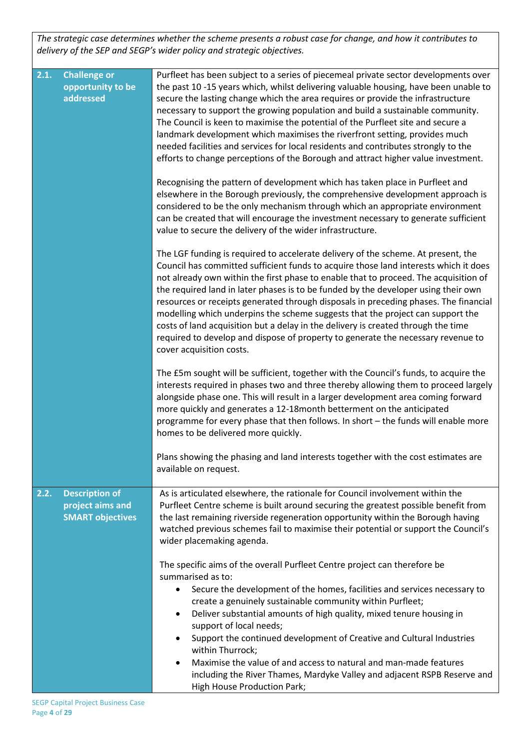*The strategic case determines whether the scheme presents a robust case for change, and how it contributes to delivery of the SEP and SEGP's wider policy and strategic objectives.* 

| 2.1. | <b>Challenge or</b><br>opportunity to be<br>addressed                | Purfleet has been subject to a series of piecemeal private sector developments over<br>the past 10-15 years which, whilst delivering valuable housing, have been unable to<br>secure the lasting change which the area requires or provide the infrastructure<br>necessary to support the growing population and build a sustainable community.<br>The Council is keen to maximise the potential of the Purfleet site and secure a<br>landmark development which maximises the riverfront setting, provides much<br>needed facilities and services for local residents and contributes strongly to the<br>efforts to change perceptions of the Borough and attract higher value investment.                                            |
|------|----------------------------------------------------------------------|----------------------------------------------------------------------------------------------------------------------------------------------------------------------------------------------------------------------------------------------------------------------------------------------------------------------------------------------------------------------------------------------------------------------------------------------------------------------------------------------------------------------------------------------------------------------------------------------------------------------------------------------------------------------------------------------------------------------------------------|
|      |                                                                      | Recognising the pattern of development which has taken place in Purfleet and<br>elsewhere in the Borough previously, the comprehensive development approach is<br>considered to be the only mechanism through which an appropriate environment<br>can be created that will encourage the investment necessary to generate sufficient<br>value to secure the delivery of the wider infrastructure.                                                                                                                                                                                                                                                                                                                                      |
|      |                                                                      | The LGF funding is required to accelerate delivery of the scheme. At present, the<br>Council has committed sufficient funds to acquire those land interests which it does<br>not already own within the first phase to enable that to proceed. The acquisition of<br>the required land in later phases is to be funded by the developer using their own<br>resources or receipts generated through disposals in preceding phases. The financial<br>modelling which underpins the scheme suggests that the project can support the<br>costs of land acquisition but a delay in the delivery is created through the time<br>required to develop and dispose of property to generate the necessary revenue to<br>cover acquisition costs. |
|      |                                                                      | The £5m sought will be sufficient, together with the Council's funds, to acquire the<br>interests required in phases two and three thereby allowing them to proceed largely<br>alongside phase one. This will result in a larger development area coming forward<br>more quickly and generates a 12-18 month betterment on the anticipated<br>programme for every phase that then follows. In short - the funds will enable more<br>homes to be delivered more quickly.                                                                                                                                                                                                                                                                |
|      |                                                                      | Plans showing the phasing and land interests together with the cost estimates are<br>available on request.                                                                                                                                                                                                                                                                                                                                                                                                                                                                                                                                                                                                                             |
| 2.2. | <b>Description of</b><br>project aims and<br><b>SMART objectives</b> | As is articulated elsewhere, the rationale for Council involvement within the<br>Purfleet Centre scheme is built around securing the greatest possible benefit from<br>the last remaining riverside regeneration opportunity within the Borough having<br>watched previous schemes fail to maximise their potential or support the Council's<br>wider placemaking agenda.                                                                                                                                                                                                                                                                                                                                                              |
|      |                                                                      | The specific aims of the overall Purfleet Centre project can therefore be<br>summarised as to:<br>Secure the development of the homes, facilities and services necessary to<br>$\bullet$<br>create a genuinely sustainable community within Purfleet;<br>Deliver substantial amounts of high quality, mixed tenure housing in<br>٠<br>support of local needs;<br>Support the continued development of Creative and Cultural Industries<br>$\bullet$<br>within Thurrock;<br>Maximise the value of and access to natural and man-made features<br>$\bullet$                                                                                                                                                                              |
|      |                                                                      | including the River Thames, Mardyke Valley and adjacent RSPB Reserve and<br>High House Production Park;                                                                                                                                                                                                                                                                                                                                                                                                                                                                                                                                                                                                                                |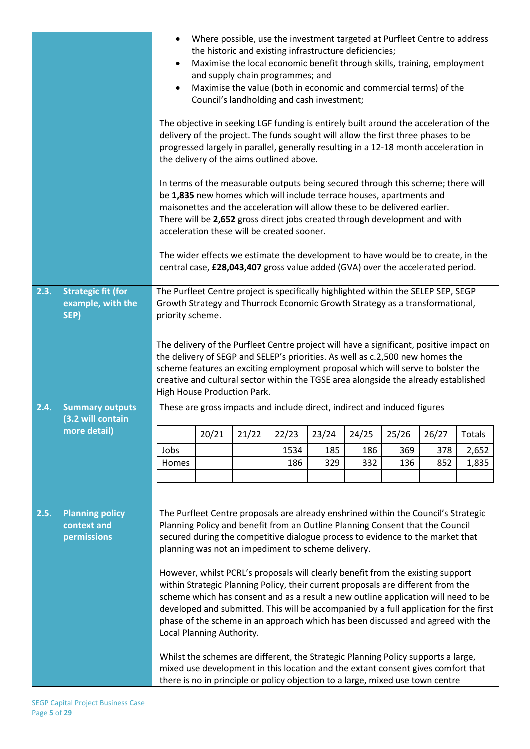| 2.3. | <b>Strategic fit (for</b>                            | Where possible, use the investment targeted at Purfleet Centre to address<br>$\bullet$<br>the historic and existing infrastructure deficiencies;<br>Maximise the local economic benefit through skills, training, employment<br>$\bullet$<br>and supply chain programmes; and<br>Maximise the value (both in economic and commercial terms) of the<br>$\bullet$<br>Council's landholding and cash investment;<br>The objective in seeking LGF funding is entirely built around the acceleration of the<br>delivery of the project. The funds sought will allow the first three phases to be<br>progressed largely in parallel, generally resulting in a 12-18 month acceleration in<br>the delivery of the aims outlined above.<br>In terms of the measurable outputs being secured through this scheme; there will<br>be 1,835 new homes which will include terrace houses, apartments and<br>maisonettes and the acceleration will allow these to be delivered earlier.<br>There will be 2,652 gross direct jobs created through development and with<br>acceleration these will be created sooner.<br>The wider effects we estimate the development to have would be to create, in the<br>central case, £28,043,407 gross value added (GVA) over the accelerated period.<br>The Purfleet Centre project is specifically highlighted within the SELEP SEP, SEGP |                           |                                                                                                                                      |       |       |       |       |                                                                                                                                                                                                                                                                                                                                                                                                                                                                                                                                                                                                                                                                                                                                                                                |                                                                                       |
|------|------------------------------------------------------|-------------------------------------------------------------------------------------------------------------------------------------------------------------------------------------------------------------------------------------------------------------------------------------------------------------------------------------------------------------------------------------------------------------------------------------------------------------------------------------------------------------------------------------------------------------------------------------------------------------------------------------------------------------------------------------------------------------------------------------------------------------------------------------------------------------------------------------------------------------------------------------------------------------------------------------------------------------------------------------------------------------------------------------------------------------------------------------------------------------------------------------------------------------------------------------------------------------------------------------------------------------------------------------------------------------------------------------------------------------------|---------------------------|--------------------------------------------------------------------------------------------------------------------------------------|-------|-------|-------|-------|--------------------------------------------------------------------------------------------------------------------------------------------------------------------------------------------------------------------------------------------------------------------------------------------------------------------------------------------------------------------------------------------------------------------------------------------------------------------------------------------------------------------------------------------------------------------------------------------------------------------------------------------------------------------------------------------------------------------------------------------------------------------------------|---------------------------------------------------------------------------------------|
|      | example, with the<br>SEP)                            | priority scheme.                                                                                                                                                                                                                                                                                                                                                                                                                                                                                                                                                                                                                                                                                                                                                                                                                                                                                                                                                                                                                                                                                                                                                                                                                                                                                                                                                  |                           |                                                                                                                                      |       |       |       |       | Growth Strategy and Thurrock Economic Growth Strategy as a transformational,                                                                                                                                                                                                                                                                                                                                                                                                                                                                                                                                                                                                                                                                                                   |                                                                                       |
|      |                                                      | The delivery of the Purfleet Centre project will have a significant, positive impact on<br>the delivery of SEGP and SELEP's priorities. As well as c.2,500 new homes the<br>scheme features an exciting employment proposal which will serve to bolster the<br>creative and cultural sector within the TGSE area alongside the already established<br>High House Production Park.                                                                                                                                                                                                                                                                                                                                                                                                                                                                                                                                                                                                                                                                                                                                                                                                                                                                                                                                                                                 |                           |                                                                                                                                      |       |       |       |       |                                                                                                                                                                                                                                                                                                                                                                                                                                                                                                                                                                                                                                                                                                                                                                                |                                                                                       |
| 2.4. | <b>Summary outputs</b><br>(3.2 will contain          |                                                                                                                                                                                                                                                                                                                                                                                                                                                                                                                                                                                                                                                                                                                                                                                                                                                                                                                                                                                                                                                                                                                                                                                                                                                                                                                                                                   |                           | These are gross impacts and include direct, indirect and induced figures                                                             |       |       |       |       |                                                                                                                                                                                                                                                                                                                                                                                                                                                                                                                                                                                                                                                                                                                                                                                |                                                                                       |
|      | more detail)                                         |                                                                                                                                                                                                                                                                                                                                                                                                                                                                                                                                                                                                                                                                                                                                                                                                                                                                                                                                                                                                                                                                                                                                                                                                                                                                                                                                                                   | 20/21                     | 21/22                                                                                                                                | 22/23 | 23/24 | 24/25 | 25/26 | 26/27                                                                                                                                                                                                                                                                                                                                                                                                                                                                                                                                                                                                                                                                                                                                                                          | <b>Totals</b>                                                                         |
|      |                                                      | Jobs                                                                                                                                                                                                                                                                                                                                                                                                                                                                                                                                                                                                                                                                                                                                                                                                                                                                                                                                                                                                                                                                                                                                                                                                                                                                                                                                                              |                           |                                                                                                                                      | 1534  | 185   | 186   | 369   | 378                                                                                                                                                                                                                                                                                                                                                                                                                                                                                                                                                                                                                                                                                                                                                                            | 2,652                                                                                 |
|      |                                                      | Homes                                                                                                                                                                                                                                                                                                                                                                                                                                                                                                                                                                                                                                                                                                                                                                                                                                                                                                                                                                                                                                                                                                                                                                                                                                                                                                                                                             |                           |                                                                                                                                      | 186   | 329   | 332   | 136   | 852                                                                                                                                                                                                                                                                                                                                                                                                                                                                                                                                                                                                                                                                                                                                                                            | 1,835                                                                                 |
|      |                                                      |                                                                                                                                                                                                                                                                                                                                                                                                                                                                                                                                                                                                                                                                                                                                                                                                                                                                                                                                                                                                                                                                                                                                                                                                                                                                                                                                                                   |                           |                                                                                                                                      |       |       |       |       |                                                                                                                                                                                                                                                                                                                                                                                                                                                                                                                                                                                                                                                                                                                                                                                |                                                                                       |
| 2.5. | <b>Planning policy</b><br>context and<br>permissions |                                                                                                                                                                                                                                                                                                                                                                                                                                                                                                                                                                                                                                                                                                                                                                                                                                                                                                                                                                                                                                                                                                                                                                                                                                                                                                                                                                   | Local Planning Authority. | planning was not an impediment to scheme delivery.<br>there is no in principle or policy objection to a large, mixed use town centre |       |       |       |       | The Purfleet Centre proposals are already enshrined within the Council's Strategic<br>Planning Policy and benefit from an Outline Planning Consent that the Council<br>secured during the competitive dialogue process to evidence to the market that<br>However, whilst PCRL's proposals will clearly benefit from the existing support<br>within Strategic Planning Policy, their current proposals are different from the<br>scheme which has consent and as a result a new outline application will need to be<br>phase of the scheme in an approach which has been discussed and agreed with the<br>Whilst the schemes are different, the Strategic Planning Policy supports a large,<br>mixed use development in this location and the extant consent gives comfort that | developed and submitted. This will be accompanied by a full application for the first |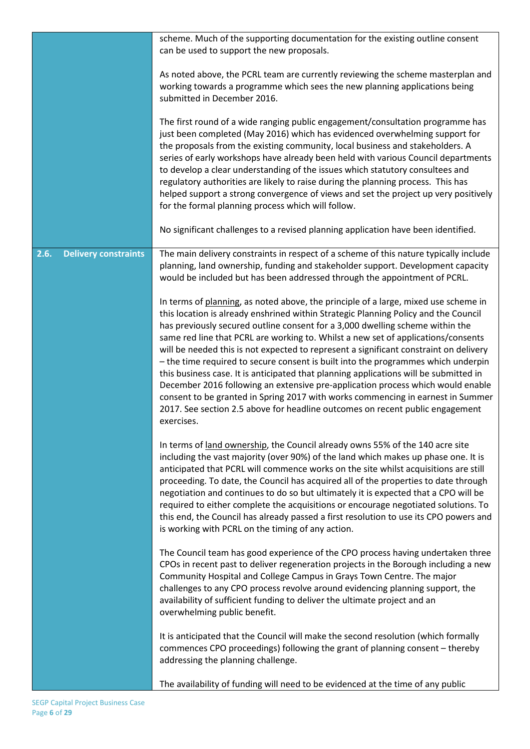|                                     | scheme. Much of the supporting documentation for the existing outline consent<br>can be used to support the new proposals.                                                                                                                                                                                                                                                                                                                                                                                                                                                                                                                                                                                                                                                                                                                                                                   |
|-------------------------------------|----------------------------------------------------------------------------------------------------------------------------------------------------------------------------------------------------------------------------------------------------------------------------------------------------------------------------------------------------------------------------------------------------------------------------------------------------------------------------------------------------------------------------------------------------------------------------------------------------------------------------------------------------------------------------------------------------------------------------------------------------------------------------------------------------------------------------------------------------------------------------------------------|
|                                     | As noted above, the PCRL team are currently reviewing the scheme masterplan and<br>working towards a programme which sees the new planning applications being<br>submitted in December 2016.                                                                                                                                                                                                                                                                                                                                                                                                                                                                                                                                                                                                                                                                                                 |
|                                     | The first round of a wide ranging public engagement/consultation programme has<br>just been completed (May 2016) which has evidenced overwhelming support for<br>the proposals from the existing community, local business and stakeholders. A<br>series of early workshops have already been held with various Council departments<br>to develop a clear understanding of the issues which statutory consultees and<br>regulatory authorities are likely to raise during the planning process. This has<br>helped support a strong convergence of views and set the project up very positively<br>for the formal planning process which will follow.                                                                                                                                                                                                                                        |
|                                     | No significant challenges to a revised planning application have been identified.                                                                                                                                                                                                                                                                                                                                                                                                                                                                                                                                                                                                                                                                                                                                                                                                            |
| <b>Delivery constraints</b><br>2.6. | The main delivery constraints in respect of a scheme of this nature typically include<br>planning, land ownership, funding and stakeholder support. Development capacity<br>would be included but has been addressed through the appointment of PCRL.                                                                                                                                                                                                                                                                                                                                                                                                                                                                                                                                                                                                                                        |
|                                     | In terms of planning, as noted above, the principle of a large, mixed use scheme in<br>this location is already enshrined within Strategic Planning Policy and the Council<br>has previously secured outline consent for a 3,000 dwelling scheme within the<br>same red line that PCRL are working to. Whilst a new set of applications/consents<br>will be needed this is not expected to represent a significant constraint on delivery<br>- the time required to secure consent is built into the programmes which underpin<br>this business case. It is anticipated that planning applications will be submitted in<br>December 2016 following an extensive pre-application process which would enable<br>consent to be granted in Spring 2017 with works commencing in earnest in Summer<br>2017. See section 2.5 above for headline outcomes on recent public engagement<br>exercises. |
|                                     | In terms of land ownership, the Council already owns 55% of the 140 acre site<br>including the vast majority (over 90%) of the land which makes up phase one. It is<br>anticipated that PCRL will commence works on the site whilst acquisitions are still<br>proceeding. To date, the Council has acquired all of the properties to date through<br>negotiation and continues to do so but ultimately it is expected that a CPO will be<br>required to either complete the acquisitions or encourage negotiated solutions. To<br>this end, the Council has already passed a first resolution to use its CPO powers and<br>is working with PCRL on the timing of any action.                                                                                                                                                                                                                 |
|                                     | The Council team has good experience of the CPO process having undertaken three<br>CPOs in recent past to deliver regeneration projects in the Borough including a new<br>Community Hospital and College Campus in Grays Town Centre. The major<br>challenges to any CPO process revolve around evidencing planning support, the<br>availability of sufficient funding to deliver the ultimate project and an<br>overwhelming public benefit.                                                                                                                                                                                                                                                                                                                                                                                                                                                |
|                                     | It is anticipated that the Council will make the second resolution (which formally<br>commences CPO proceedings) following the grant of planning consent - thereby<br>addressing the planning challenge.                                                                                                                                                                                                                                                                                                                                                                                                                                                                                                                                                                                                                                                                                     |
|                                     | The availability of funding will need to be evidenced at the time of any public                                                                                                                                                                                                                                                                                                                                                                                                                                                                                                                                                                                                                                                                                                                                                                                                              |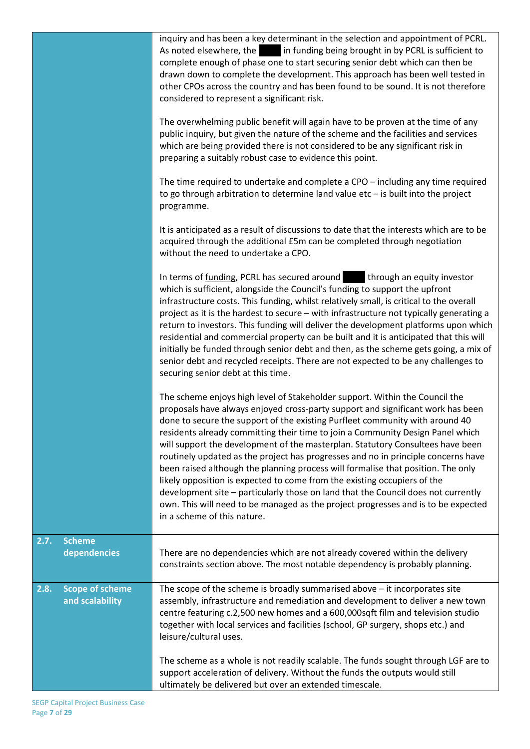|                                                   | inquiry and has been a key determinant in the selection and appointment of PCRL.<br>As noted elsewhere, the in funding being brought in by PCRL is sufficient to<br>complete enough of phase one to start securing senior debt which can then be<br>drawn down to complete the development. This approach has been well tested in<br>other CPOs across the country and has been found to be sound. It is not therefore<br>considered to represent a significant risk.                                                                                                                                                                                                                                                                                                                                                                                                            |
|---------------------------------------------------|----------------------------------------------------------------------------------------------------------------------------------------------------------------------------------------------------------------------------------------------------------------------------------------------------------------------------------------------------------------------------------------------------------------------------------------------------------------------------------------------------------------------------------------------------------------------------------------------------------------------------------------------------------------------------------------------------------------------------------------------------------------------------------------------------------------------------------------------------------------------------------|
|                                                   | The overwhelming public benefit will again have to be proven at the time of any<br>public inquiry, but given the nature of the scheme and the facilities and services<br>which are being provided there is not considered to be any significant risk in<br>preparing a suitably robust case to evidence this point.                                                                                                                                                                                                                                                                                                                                                                                                                                                                                                                                                              |
|                                                   | The time required to undertake and complete a CPO - including any time required<br>to go through arbitration to determine land value $etc$ – is built into the project<br>programme.                                                                                                                                                                                                                                                                                                                                                                                                                                                                                                                                                                                                                                                                                             |
|                                                   | It is anticipated as a result of discussions to date that the interests which are to be<br>acquired through the additional £5m can be completed through negotiation<br>without the need to undertake a CPO.                                                                                                                                                                                                                                                                                                                                                                                                                                                                                                                                                                                                                                                                      |
|                                                   | In terms of funding, PCRL has secured around through an equity investor<br>which is sufficient, alongside the Council's funding to support the upfront<br>infrastructure costs. This funding, whilst relatively small, is critical to the overall<br>project as it is the hardest to secure - with infrastructure not typically generating a<br>return to investors. This funding will deliver the development platforms upon which<br>residential and commercial property can be built and it is anticipated that this will<br>initially be funded through senior debt and then, as the scheme gets going, a mix of<br>senior debt and recycled receipts. There are not expected to be any challenges to<br>securing senior debt at this time.                                                                                                                                  |
|                                                   | The scheme enjoys high level of Stakeholder support. Within the Council the<br>proposals have always enjoyed cross-party support and significant work has been<br>done to secure the support of the existing Purfleet community with around 40<br>residents already committing their time to join a Community Design Panel which<br>will support the development of the masterplan. Statutory Consultees have been<br>routinely updated as the project has progresses and no in principle concerns have<br>been raised although the planning process will formalise that position. The only<br>likely opposition is expected to come from the existing occupiers of the<br>development site - particularly those on land that the Council does not currently<br>own. This will need to be managed as the project progresses and is to be expected<br>in a scheme of this nature. |
| 2.7.<br><b>Scheme</b><br>dependencies             | There are no dependencies which are not already covered within the delivery<br>constraints section above. The most notable dependency is probably planning.                                                                                                                                                                                                                                                                                                                                                                                                                                                                                                                                                                                                                                                                                                                      |
| <b>Scope of scheme</b><br>2.8.<br>and scalability | The scope of the scheme is broadly summarised above $-$ it incorporates site<br>assembly, infrastructure and remediation and development to deliver a new town<br>centre featuring c.2,500 new homes and a 600,000sqft film and television studio<br>together with local services and facilities (school, GP surgery, shops etc.) and<br>leisure/cultural uses.                                                                                                                                                                                                                                                                                                                                                                                                                                                                                                                  |
|                                                   | The scheme as a whole is not readily scalable. The funds sought through LGF are to<br>support acceleration of delivery. Without the funds the outputs would still<br>ultimately be delivered but over an extended timescale.                                                                                                                                                                                                                                                                                                                                                                                                                                                                                                                                                                                                                                                     |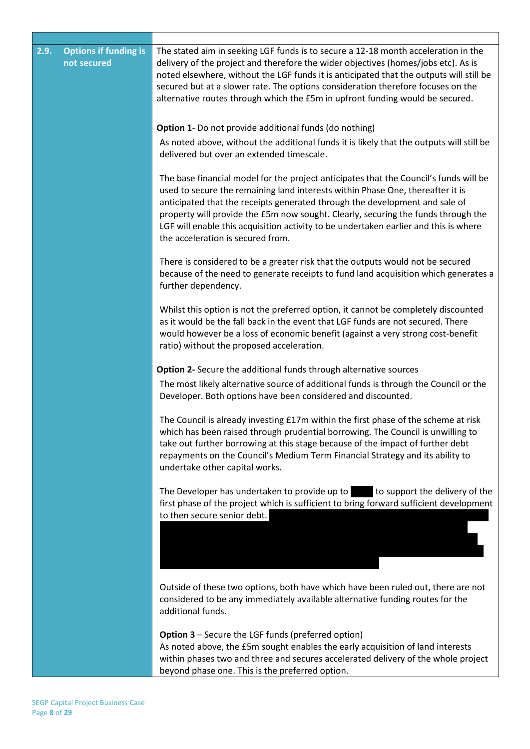| 2.9. | <b>Options if funding is</b><br>not secured | The stated aim in seeking LGF funds is to secure a 12-18 month acceleration in the<br>delivery of the project and therefore the wider objectives (homes/jobs etc). As is<br>noted elsewhere, without the LGF funds it is anticipated that the outputs will still be<br>secured but at a slower rate. The options consideration therefore focuses on the<br>alternative routes through which the £5m in upfront funding would be secured.                                 |
|------|---------------------------------------------|--------------------------------------------------------------------------------------------------------------------------------------------------------------------------------------------------------------------------------------------------------------------------------------------------------------------------------------------------------------------------------------------------------------------------------------------------------------------------|
|      |                                             | <b>Option 1-</b> Do not provide additional funds (do nothing)                                                                                                                                                                                                                                                                                                                                                                                                            |
|      |                                             | As noted above, without the additional funds it is likely that the outputs will still be<br>delivered but over an extended timescale.                                                                                                                                                                                                                                                                                                                                    |
|      |                                             | The base financial model for the project anticipates that the Council's funds will be<br>used to secure the remaining land interests within Phase One, thereafter it is<br>anticipated that the receipts generated through the development and sale of<br>property will provide the £5m now sought. Clearly, securing the funds through the<br>LGF will enable this acquisition activity to be undertaken earlier and this is where<br>the acceleration is secured from. |
|      |                                             | There is considered to be a greater risk that the outputs would not be secured<br>because of the need to generate receipts to fund land acquisition which generates a<br>further dependency.                                                                                                                                                                                                                                                                             |
|      |                                             | Whilst this option is not the preferred option, it cannot be completely discounted<br>as it would be the fall back in the event that LGF funds are not secured. There<br>would however be a loss of economic benefit (against a very strong cost-benefit<br>ratio) without the proposed acceleration.                                                                                                                                                                    |
|      |                                             | Option 2- Secure the additional funds through alternative sources                                                                                                                                                                                                                                                                                                                                                                                                        |
|      |                                             | The most likely alternative source of additional funds is through the Council or the<br>Developer. Both options have been considered and discounted.                                                                                                                                                                                                                                                                                                                     |
|      |                                             | The Council is already investing £17m within the first phase of the scheme at risk<br>which has been raised through prudential borrowing. The Council is unwilling to<br>take out further borrowing at this stage because of the impact of further debt<br>repayments on the Council's Medium Term Financial Strategy and its ability to<br>undertake other capital works.                                                                                               |
|      |                                             | The Developer has undertaken to provide up to<br>to support the delivery of the<br>first phase of the project which is sufficient to bring forward sufficient development<br>to then secure senior debt.                                                                                                                                                                                                                                                                 |
|      |                                             |                                                                                                                                                                                                                                                                                                                                                                                                                                                                          |
|      |                                             | Outside of these two options, both have which have been ruled out, there are not<br>considered to be any immediately available alternative funding routes for the<br>additional funds.                                                                                                                                                                                                                                                                                   |
|      |                                             | <b>Option 3</b> – Secure the LGF funds (preferred option)<br>As noted above, the £5m sought enables the early acquisition of land interests<br>within phases two and three and secures accelerated delivery of the whole project<br>beyond phase one. This is the preferred option.                                                                                                                                                                                      |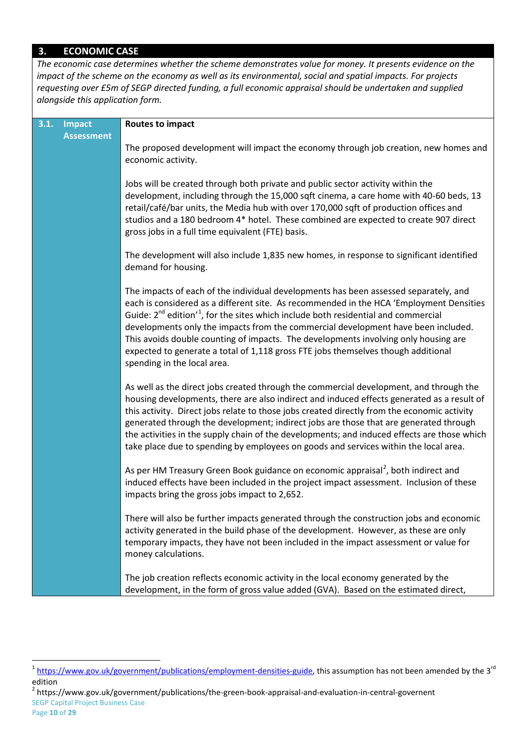## **3. ECONOMIC CASE**

*The economic case determines whether the scheme demonstrates value for money. It presents evidence on the impact of the scheme on the economy as well as its environmental, social and spatial impacts. For projects requesting over £5m of SEGP directed funding, a full economic appraisal should be undertaken and supplied alongside this application form.*

| 3.1. | Impact            | <b>Routes to impact</b>                                                                                                                                                                                                                                                                                                                                                                                                                                                                                                                                                                |
|------|-------------------|----------------------------------------------------------------------------------------------------------------------------------------------------------------------------------------------------------------------------------------------------------------------------------------------------------------------------------------------------------------------------------------------------------------------------------------------------------------------------------------------------------------------------------------------------------------------------------------|
|      | <b>Assessment</b> | The proposed development will impact the economy through job creation, new homes and<br>economic activity.                                                                                                                                                                                                                                                                                                                                                                                                                                                                             |
|      |                   | Jobs will be created through both private and public sector activity within the<br>development, including through the 15,000 sqft cinema, a care home with 40-60 beds, 13<br>retail/café/bar units, the Media hub with over 170,000 sqft of production offices and<br>studios and a 180 bedroom 4* hotel. These combined are expected to create 907 direct<br>gross jobs in a full time equivalent (FTE) basis.                                                                                                                                                                        |
|      |                   | The development will also include 1,835 new homes, in response to significant identified<br>demand for housing.                                                                                                                                                                                                                                                                                                                                                                                                                                                                        |
|      |                   | The impacts of each of the individual developments has been assessed separately, and<br>each is considered as a different site. As recommended in the HCA 'Employment Densities<br>Guide: $2^{nd}$ edition' <sup>1</sup> , for the sites which include both residential and commercial<br>developments only the impacts from the commercial development have been included.<br>This avoids double counting of impacts. The developments involving only housing are<br>expected to generate a total of 1,118 gross FTE jobs themselves though additional<br>spending in the local area. |
|      |                   | As well as the direct jobs created through the commercial development, and through the<br>housing developments, there are also indirect and induced effects generated as a result of<br>this activity. Direct jobs relate to those jobs created directly from the economic activity<br>generated through the development; indirect jobs are those that are generated through<br>the activities in the supply chain of the developments; and induced effects are those which<br>take place due to spending by employees on goods and services within the local area.                    |
|      |                   | As per HM Treasury Green Book guidance on economic appraisal <sup>2</sup> , both indirect and<br>induced effects have been included in the project impact assessment. Inclusion of these<br>impacts bring the gross jobs impact to 2,652.                                                                                                                                                                                                                                                                                                                                              |
|      |                   | There will also be further impacts generated through the construction jobs and economic<br>activity generated in the build phase of the development. However, as these are only<br>temporary impacts, they have not been included in the impact assessment or value for<br>money calculations.                                                                                                                                                                                                                                                                                         |
|      |                   | The job creation reflects economic activity in the local economy generated by the<br>development, in the form of gross value added (GVA). Based on the estimated direct,                                                                                                                                                                                                                                                                                                                                                                                                               |

<span id="page-9-1"></span> $1$  [https://www.gov.uk/government/publications/employment-densities-guide,](https://www.gov.uk/government/publications/employment-densities-guide) this assumption has not been amended by the 3<sup>rd</sup> edition

<span id="page-9-0"></span>SEGP Capital Project Business Case <sup>2</sup> https://www.gov.uk/government/publications/the-green-book-appraisal-and-evaluation-in-central-governent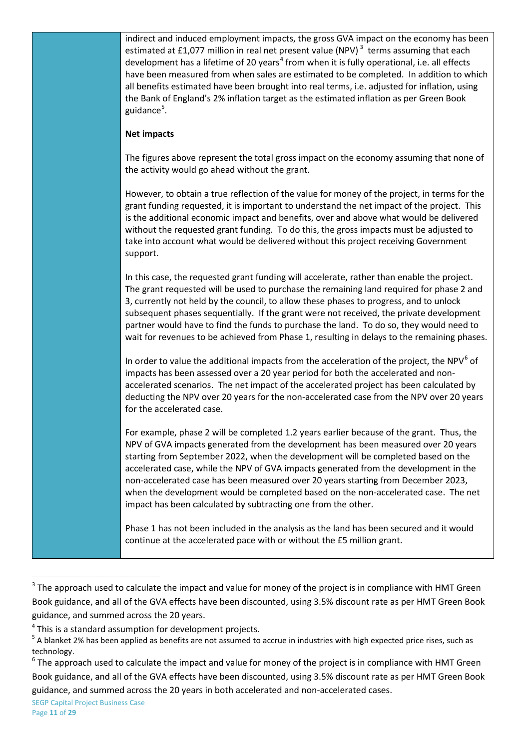| indirect and induced employment impacts, the gross GVA impact on the economy has been<br>estimated at £1,077 million in real net present value (NPV) $^3$ terms assuming that each<br>development has a lifetime of 20 years <sup>4</sup> from when it is fully operational, i.e. all effects<br>have been measured from when sales are estimated to be completed. In addition to which<br>all benefits estimated have been brought into real terms, i.e. adjusted for inflation, using<br>the Bank of England's 2% inflation target as the estimated inflation as per Green Book<br>guidance <sup>5</sup> . |
|--------------------------------------------------------------------------------------------------------------------------------------------------------------------------------------------------------------------------------------------------------------------------------------------------------------------------------------------------------------------------------------------------------------------------------------------------------------------------------------------------------------------------------------------------------------------------------------------------------------|
| <b>Net impacts</b>                                                                                                                                                                                                                                                                                                                                                                                                                                                                                                                                                                                           |
| The figures above represent the total gross impact on the economy assuming that none of<br>the activity would go ahead without the grant.                                                                                                                                                                                                                                                                                                                                                                                                                                                                    |
| However, to obtain a true reflection of the value for money of the project, in terms for the<br>grant funding requested, it is important to understand the net impact of the project. This<br>is the additional economic impact and benefits, over and above what would be delivered<br>without the requested grant funding. To do this, the gross impacts must be adjusted to<br>take into account what would be delivered without this project receiving Government<br>support.                                                                                                                            |
| In this case, the requested grant funding will accelerate, rather than enable the project.<br>The grant requested will be used to purchase the remaining land required for phase 2 and<br>3, currently not held by the council, to allow these phases to progress, and to unlock<br>subsequent phases sequentially. If the grant were not received, the private development<br>partner would have to find the funds to purchase the land. To do so, they would need to<br>wait for revenues to be achieved from Phase 1, resulting in delays to the remaining phases.                                        |
| In order to value the additional impacts from the acceleration of the project, the NPV <sup>6</sup> of<br>impacts has been assessed over a 20 year period for both the accelerated and non-<br>accelerated scenarios. The net impact of the accelerated project has been calculated by<br>deducting the NPV over 20 years for the non-accelerated case from the NPV over 20 years<br>for the accelerated case.                                                                                                                                                                                               |
| For example, phase 2 will be completed 1.2 years earlier because of the grant. Thus, the<br>NPV of GVA impacts generated from the development has been measured over 20 years<br>starting from September 2022, when the development will be completed based on the<br>accelerated case, while the NPV of GVA impacts generated from the development in the<br>non-accelerated case has been measured over 20 years starting from December 2023,<br>when the development would be completed based on the non-accelerated case. The net<br>impact has been calculated by subtracting one from the other.       |
| Phase 1 has not been included in the analysis as the land has been secured and it would<br>continue at the accelerated pace with or without the £5 million grant.                                                                                                                                                                                                                                                                                                                                                                                                                                            |

<sup>&</sup>lt;sup>3</sup> The approach used to calculate the impact and value for money of the project is in compliance with HMT Green Book guidance, and all of the GVA effects have been discounted, using 3.5% discount rate as per HMT Green Book guidance, and summed across the 20 years.

<span id="page-10-0"></span><sup>4</sup> This is a standard assumption for development projects.

<span id="page-10-1"></span><sup>&</sup>lt;sup>5</sup> A blanket 2% has been applied as benefits are not assumed to accrue in industries with high expected price rises, such as technology.

<span id="page-10-3"></span><span id="page-10-2"></span> $6$  The approach used to calculate the impact and value for money of the project is in compliance with HMT Green Book guidance, and all of the GVA effects have been discounted, using 3.5% discount rate as per HMT Green Book guidance, and summed across the 20 years in both accelerated and non-accelerated cases.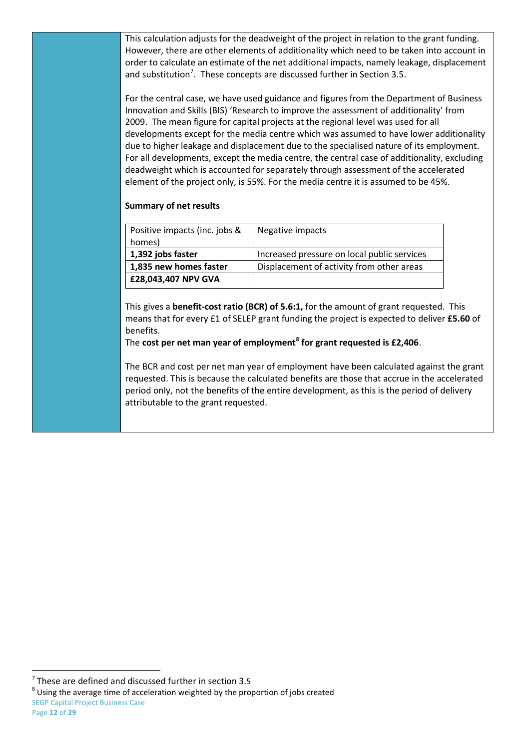This calculation adjusts for the deadweight of the project in relation to the grant funding. However, there are other elements of additionality which need to be taken into account in order to calculate an estimate of the net additional impacts, namely leakage, displacement and substitution<sup>[7](#page-10-3)</sup>. These concepts are discussed further in Section 3.5.

For the central case, we have used guidance and figures from the Department of Business Innovation and Skills (BIS) 'Research to improve the assessment of additionality' from 2009. The mean figure for capital projects at the regional level was used for all developments except for the media centre which was assumed to have lower additionality due to higher leakage and displacement due to the specialised nature of its employment. For all developments, except the media centre, the central case of additionality, excluding deadweight which is accounted for separately through assessment of the accelerated element of the project only, is 55%. For the media centre it is assumed to be 45%.

## **Summary of net results**

| Positive impacts (inc. jobs & | Negative impacts                            |
|-------------------------------|---------------------------------------------|
| homes)                        |                                             |
| 1,392 jobs faster             | Increased pressure on local public services |
| 1,835 new homes faster        | Displacement of activity from other areas   |
| £28,043,407 NPV GVA           |                                             |

This gives a **benefit-cost ratio (BCR) of 5.6:1,** for the amount of grant requested. This means that for every £1 of SELEP grant funding the project is expected to deliver **£5.60** of benefits.

The **cost per net man year of employment[8](#page-11-0) for grant requested is £2,406**.

The BCR and cost per net man year of employment have been calculated against the grant requested. This is because the calculated benefits are those that accrue in the accelerated period only, not the benefits of the entire development, as this is the period of delivery attributable to the grant requested.

<span id="page-11-1"></span><span id="page-11-0"></span>

SEGP Capital Project Business Case <sup>7</sup> These are defined and discussed further in section 3.5<br><sup>8</sup> Using the average time of acceleration weighted by the proportion of jobs created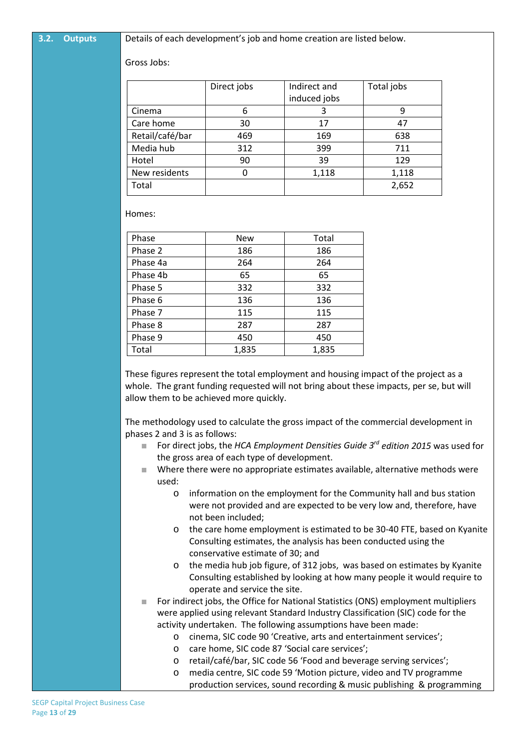**3.2. Outputs** Details of each development's job and home creation are listed below.

Gross Jobs:

|                 | Direct jobs | Indirect and<br>induced jobs | Total jobs |
|-----------------|-------------|------------------------------|------------|
| Cinema          | 6           | 3                            | 9          |
| Care home       | 30          | 17                           | 47         |
| Retail/café/bar | 469         | 169                          | 638        |
| Media hub       | 312         | 399                          | 711        |
| Hotel           | 90          | 39                           | 129        |
| New residents   |             | 1,118                        | 1,118      |
| Total           |             |                              | 2,652      |

Homes:

| Phase    | <b>New</b> | Total |
|----------|------------|-------|
| Phase 2  | 186        | 186   |
| Phase 4a | 264        | 264   |
| Phase 4b | 65         | 65    |
| Phase 5  | 332        | 332   |
| Phase 6  | 136        | 136   |
| Phase 7  | 115        | 115   |
| Phase 8  | 287        | 287   |
| Phase 9  | 450        | 450   |
| Total    | 1,835      | 1,835 |

These figures represent the total employment and housing impact of the project as a whole. The grant funding requested will not bring about these impacts, per se, but will allow them to be achieved more quickly.

The methodology used to calculate the gross impact of the commercial development in phases 2 and 3 is as follows:

- For direct jobs, the *HCA Employment Densities Guide 3<sup>rd</sup> edition 2015* was used for the gross area of each type of development.
- Where there were no appropriate estimates available, alternative methods were used:
	- o information on the employment for the Community hall and bus station were not provided and are expected to be very low and, therefore, have not been included;
	- o the care home employment is estimated to be 30-40 FTE, based on Kyanite Consulting estimates, the analysis has been conducted using the conservative estimate of 30; and
	- o the media hub job figure, of 312 jobs, was based on estimates by Kyanite Consulting established by looking at how many people it would require to operate and service the site.
- For indirect jobs, the Office for National Statistics (ONS) employment multipliers were applied using relevant Standard Industry Classification (SIC) code for the activity undertaken. The following assumptions have been made:
	- o cinema, SIC code 90 'Creative, arts and entertainment services';
	- o care home, SIC code 87 'Social care services';
	- o retail/café/bar, SIC code 56 'Food and beverage serving services';
	- o media centre, SIC code 59 'Motion picture, video and TV programme production services, sound recording & music publishing & programming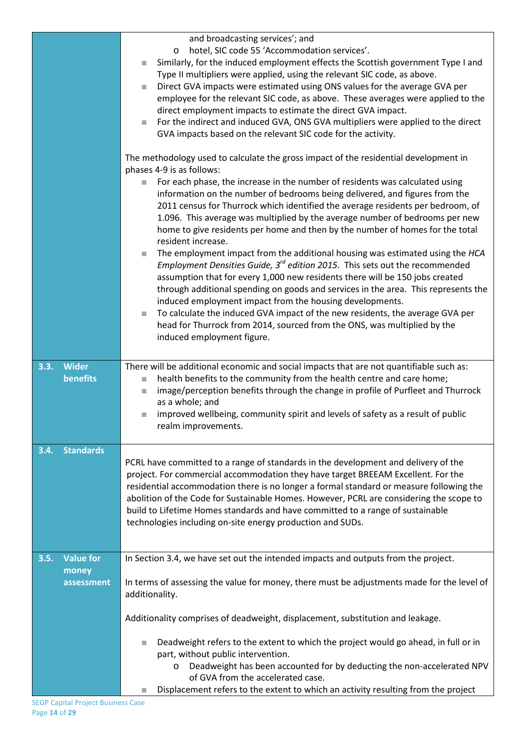|                                                 | and broadcasting services'; and<br>hotel, SIC code 55 'Accommodation services'.<br>$\circ$<br>Similarly, for the induced employment effects the Scottish government Type I and<br>Type II multipliers were applied, using the relevant SIC code, as above.<br>Direct GVA impacts were estimated using ONS values for the average GVA per<br>×<br>employee for the relevant SIC code, as above. These averages were applied to the<br>direct employment impacts to estimate the direct GVA impact.<br>For the indirect and induced GVA, ONS GVA multipliers were applied to the direct<br>×<br>GVA impacts based on the relevant SIC code for the activity.<br>The methodology used to calculate the gross impact of the residential development in |
|-------------------------------------------------|----------------------------------------------------------------------------------------------------------------------------------------------------------------------------------------------------------------------------------------------------------------------------------------------------------------------------------------------------------------------------------------------------------------------------------------------------------------------------------------------------------------------------------------------------------------------------------------------------------------------------------------------------------------------------------------------------------------------------------------------------|
|                                                 | phases 4-9 is as follows:<br>For each phase, the increase in the number of residents was calculated using<br>information on the number of bedrooms being delivered, and figures from the<br>2011 census for Thurrock which identified the average residents per bedroom, of<br>1.096. This average was multiplied by the average number of bedrooms per new<br>home to give residents per home and then by the number of homes for the total<br>resident increase.                                                                                                                                                                                                                                                                                 |
|                                                 | The employment impact from the additional housing was estimated using the HCA<br>$\mathcal{L}_{\mathcal{A}}$<br>Employment Densities Guide, 3 <sup>rd</sup> edition 2015. This sets out the recommended<br>assumption that for every 1,000 new residents there will be 150 jobs created<br>through additional spending on goods and services in the area. This represents the<br>induced employment impact from the housing developments.<br>To calculate the induced GVA impact of the new residents, the average GVA per<br>$\mathcal{L}_{\mathcal{A}}$<br>head for Thurrock from 2014, sourced from the ONS, was multiplied by the<br>induced employment figure.                                                                                |
| <b>Wider</b><br>3.3.<br>benefits                | There will be additional economic and social impacts that are not quantifiable such as:<br>health benefits to the community from the health centre and care home;<br>a.<br>image/perception benefits through the change in profile of Purfleet and Thurrock<br>$\mathcal{L}_{\mathcal{A}}$<br>as a whole; and<br>improved wellbeing, community spirit and levels of safety as a result of public<br>$\mathcal{L}_{\mathcal{A}}$<br>realm improvements.                                                                                                                                                                                                                                                                                             |
| <b>Standards</b><br>3.4.                        | PCRL have committed to a range of standards in the development and delivery of the<br>project. For commercial accommodation they have target BREEAM Excellent. For the<br>residential accommodation there is no longer a formal standard or measure following the<br>abolition of the Code for Sustainable Homes. However, PCRL are considering the scope to<br>build to Lifetime Homes standards and have committed to a range of sustainable<br>technologies including on-site energy production and SUDs.                                                                                                                                                                                                                                       |
| <b>Value for</b><br>3.5.<br>money<br>assessment | In Section 3.4, we have set out the intended impacts and outputs from the project.<br>In terms of assessing the value for money, there must be adjustments made for the level of<br>additionality.                                                                                                                                                                                                                                                                                                                                                                                                                                                                                                                                                 |
|                                                 | Additionality comprises of deadweight, displacement, substitution and leakage.<br>Deadweight refers to the extent to which the project would go ahead, in full or in<br>part, without public intervention.<br>Deadweight has been accounted for by deducting the non-accelerated NPV<br>O<br>of GVA from the accelerated case.<br>Displacement refers to the extent to which an activity resulting from the project                                                                                                                                                                                                                                                                                                                                |
|                                                 |                                                                                                                                                                                                                                                                                                                                                                                                                                                                                                                                                                                                                                                                                                                                                    |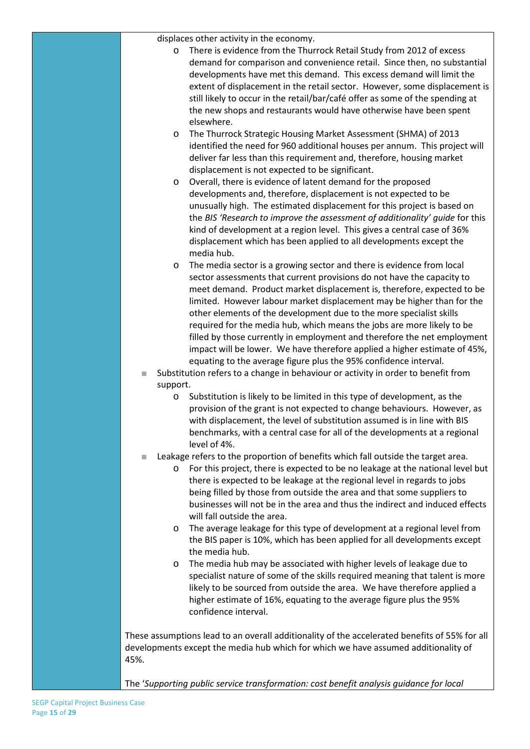displaces other activity in the economy.

- o There is evidence from the Thurrock Retail Study from 2012 of excess demand for comparison and convenience retail. Since then, no substantial developments have met this demand. This excess demand will limit the extent of displacement in the retail sector. However, some displacement is still likely to occur in the retail/bar/café offer as some of the spending at the new shops and restaurants would have otherwise have been spent elsewhere.
- o The Thurrock Strategic Housing Market Assessment (SHMA) of 2013 identified the need for 960 additional houses per annum. This project will deliver far less than this requirement and, therefore, housing market displacement is not expected to be significant.
- o Overall, there is evidence of latent demand for the proposed developments and, therefore, displacement is not expected to be unusually high. The estimated displacement for this project is based on the *BIS 'Research to improve the assessment of additionality' guide* for this kind of development at a region level. This gives a central case of 36% displacement which has been applied to all developments except the media hub.
- o The media sector is a growing sector and there is evidence from local sector assessments that current provisions do not have the capacity to meet demand. Product market displacement is, therefore, expected to be limited. However labour market displacement may be higher than for the other elements of the development due to the more specialist skills required for the media hub, which means the jobs are more likely to be filled by those currently in employment and therefore the net employment impact will be lower. We have therefore applied a higher estimate of 45%, equating to the average figure plus the 95% confidence interval.
- Substitution refers to a change in behaviour or activity in order to benefit from support.
	- o Substitution is likely to be limited in this type of development, as the provision of the grant is not expected to change behaviours. However, as with displacement, the level of substitution assumed is in line with BIS benchmarks, with a central case for all of the developments at a regional level of 4%.
- Leakage refers to the proportion of benefits which fall outside the target area.
	- o For this project, there is expected to be no leakage at the national level but there is expected to be leakage at the regional level in regards to jobs being filled by those from outside the area and that some suppliers to businesses will not be in the area and thus the indirect and induced effects will fall outside the area.
	- o The average leakage for this type of development at a regional level from the BIS paper is 10%, which has been applied for all developments except the media hub.
	- o The media hub may be associated with higher levels of leakage due to specialist nature of some of the skills required meaning that talent is more likely to be sourced from outside the area. We have therefore applied a higher estimate of 16%, equating to the average figure plus the 95% confidence interval.

These assumptions lead to an overall additionality of the accelerated benefits of 55% for all developments except the media hub which for which we have assumed additionality of 45%.

The '*Supporting public service transformation: cost benefit analysis guidance for local*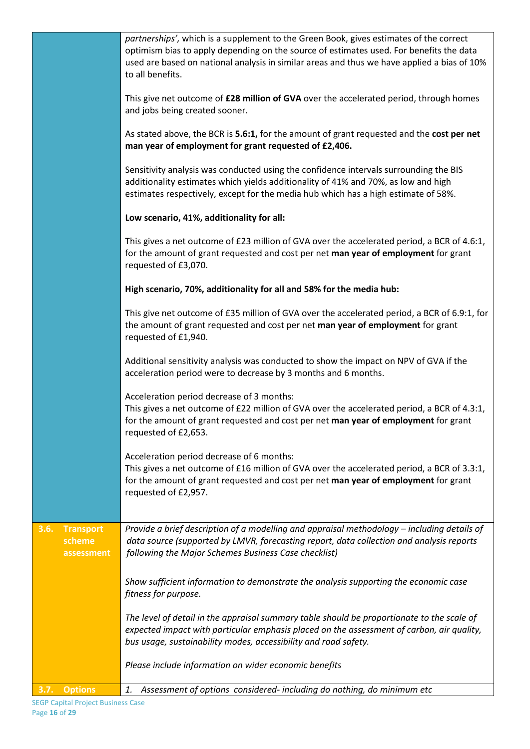|                                                  | partnerships', which is a supplement to the Green Book, gives estimates of the correct<br>optimism bias to apply depending on the source of estimates used. For benefits the data<br>used are based on national analysis in similar areas and thus we have applied a bias of 10%<br>to all benefits. |
|--------------------------------------------------|------------------------------------------------------------------------------------------------------------------------------------------------------------------------------------------------------------------------------------------------------------------------------------------------------|
|                                                  | This give net outcome of £28 million of GVA over the accelerated period, through homes<br>and jobs being created sooner.                                                                                                                                                                             |
|                                                  | As stated above, the BCR is 5.6:1, for the amount of grant requested and the cost per net<br>man year of employment for grant requested of £2,406.                                                                                                                                                   |
|                                                  | Sensitivity analysis was conducted using the confidence intervals surrounding the BIS<br>additionality estimates which yields additionality of 41% and 70%, as low and high<br>estimates respectively, except for the media hub which has a high estimate of 58%.                                    |
|                                                  | Low scenario, 41%, additionality for all:                                                                                                                                                                                                                                                            |
|                                                  | This gives a net outcome of £23 million of GVA over the accelerated period, a BCR of 4.6:1,<br>for the amount of grant requested and cost per net man year of employment for grant<br>requested of £3,070.                                                                                           |
|                                                  | High scenario, 70%, additionality for all and 58% for the media hub:                                                                                                                                                                                                                                 |
|                                                  | This give net outcome of £35 million of GVA over the accelerated period, a BCR of 6.9:1, for<br>the amount of grant requested and cost per net man year of employment for grant<br>requested of £1,940.                                                                                              |
|                                                  | Additional sensitivity analysis was conducted to show the impact on NPV of GVA if the<br>acceleration period were to decrease by 3 months and 6 months.                                                                                                                                              |
|                                                  | Acceleration period decrease of 3 months:<br>This gives a net outcome of £22 million of GVA over the accelerated period, a BCR of 4.3:1,<br>for the amount of grant requested and cost per net man year of employment for grant<br>requested of £2,653.                                              |
|                                                  | Acceleration period decrease of 6 months:<br>This gives a net outcome of £16 million of GVA over the accelerated period, a BCR of 3.3:1,<br>for the amount of grant requested and cost per net man year of employment for grant<br>requested of £2,957.                                              |
| 3.6.<br><b>Transport</b><br>scheme<br>assessment | Provide a brief description of a modelling and appraisal methodology - including details of<br>data source (supported by LMVR, forecasting report, data collection and analysis reports<br>following the Major Schemes Business Case checklist)                                                      |
|                                                  | Show sufficient information to demonstrate the analysis supporting the economic case<br>fitness for purpose.                                                                                                                                                                                         |
|                                                  | The level of detail in the appraisal summary table should be proportionate to the scale of<br>expected impact with particular emphasis placed on the assessment of carbon, air quality,<br>bus usage, sustainability modes, accessibility and road safety.                                           |
|                                                  | Please include information on wider economic benefits                                                                                                                                                                                                                                                |
| <b>Options</b><br>3.7.                           | Assessment of options considered- including do nothing, do minimum etc<br>1.                                                                                                                                                                                                                         |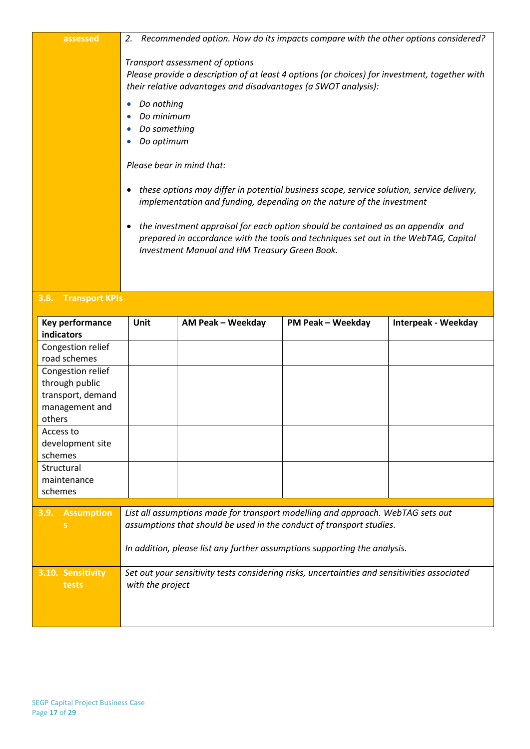| assessed                      | Recommended option. How do its impacts compare with the other options considered?<br>2.                                                                                                            |                                                                                                                                                                                                                         |                          |                     |  |  |
|-------------------------------|----------------------------------------------------------------------------------------------------------------------------------------------------------------------------------------------------|-------------------------------------------------------------------------------------------------------------------------------------------------------------------------------------------------------------------------|--------------------------|---------------------|--|--|
|                               | Transport assessment of options<br>Please provide a description of at least 4 options (or choices) for investment, together with<br>their relative advantages and disadvantages (a SWOT analysis): |                                                                                                                                                                                                                         |                          |                     |  |  |
|                               | Do nothing<br>Do minimum<br>Do something<br>Do optimum                                                                                                                                             |                                                                                                                                                                                                                         |                          |                     |  |  |
|                               | Please bear in mind that:                                                                                                                                                                          |                                                                                                                                                                                                                         |                          |                     |  |  |
|                               | $\bullet$                                                                                                                                                                                          | these options may differ in potential business scope, service solution, service delivery,<br>implementation and funding, depending on the nature of the investment                                                      |                          |                     |  |  |
|                               | ٠                                                                                                                                                                                                  | the investment appraisal for each option should be contained as an appendix and<br>prepared in accordance with the tools and techniques set out in the WebTAG, Capital<br>Investment Manual and HM Treasury Green Book. |                          |                     |  |  |
| 3.8. Transport KPIs           |                                                                                                                                                                                                    |                                                                                                                                                                                                                         |                          |                     |  |  |
| Key performance<br>indicators | Unit                                                                                                                                                                                               | AM Peak - Weekday                                                                                                                                                                                                       | <b>PM Peak - Weekday</b> | Interpeak - Weekday |  |  |

| Key performance           | Unit                                                                                         | AM Peak – Weekday | PM Peak – Weekday                                                               | Interpeak - Weekday |
|---------------------------|----------------------------------------------------------------------------------------------|-------------------|---------------------------------------------------------------------------------|---------------------|
| indicators                |                                                                                              |                   |                                                                                 |                     |
| Congestion relief         |                                                                                              |                   |                                                                                 |                     |
| road schemes              |                                                                                              |                   |                                                                                 |                     |
| Congestion relief         |                                                                                              |                   |                                                                                 |                     |
| through public            |                                                                                              |                   |                                                                                 |                     |
| transport, demand         |                                                                                              |                   |                                                                                 |                     |
| management and            |                                                                                              |                   |                                                                                 |                     |
| others                    |                                                                                              |                   |                                                                                 |                     |
| Access to                 |                                                                                              |                   |                                                                                 |                     |
| development site          |                                                                                              |                   |                                                                                 |                     |
| schemes                   |                                                                                              |                   |                                                                                 |                     |
| Structural                |                                                                                              |                   |                                                                                 |                     |
| maintenance               |                                                                                              |                   |                                                                                 |                     |
| schemes                   |                                                                                              |                   |                                                                                 |                     |
|                           |                                                                                              |                   |                                                                                 |                     |
| 3.9.<br><b>Assumption</b> |                                                                                              |                   | List all assumptions made for transport modelling and approach. WebTAG sets out |                     |
|                           |                                                                                              |                   | assumptions that should be used in the conduct of transport studies.            |                     |
|                           |                                                                                              |                   |                                                                                 |                     |
|                           | In addition, please list any further assumptions supporting the analysis.                    |                   |                                                                                 |                     |
| 3.10. Sensitivity         | Set out your sensitivity tests considering risks, uncertainties and sensitivities associated |                   |                                                                                 |                     |
| with the project<br>tests |                                                                                              |                   |                                                                                 |                     |
|                           |                                                                                              |                   |                                                                                 |                     |
|                           |                                                                                              |                   |                                                                                 |                     |
|                           |                                                                                              |                   |                                                                                 |                     |
|                           |                                                                                              |                   |                                                                                 |                     |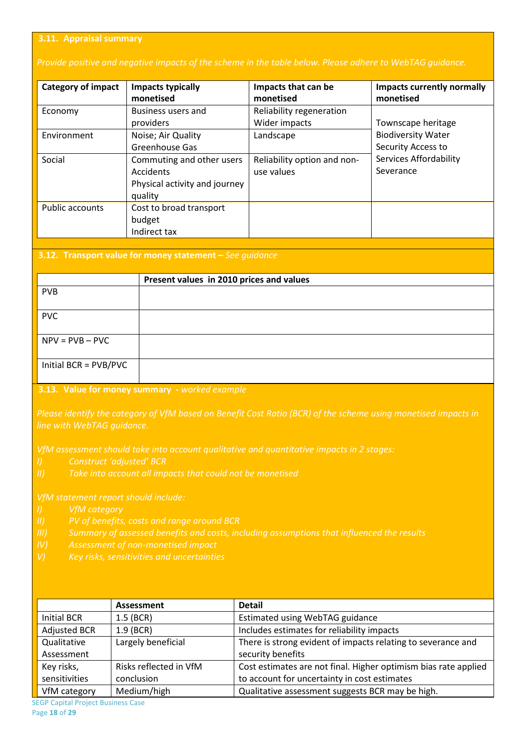#### **3.11. Appraisal summary**

#### *Provide positive and negative impacts of the scheme in the table below. Please adhere to WebTAG guidance.*

| <b>Category of impact</b> | Impacts typically<br>monetised                                                     | Impacts that can be<br>monetised          | <b>Impacts currently normally</b><br>monetised  |  |
|---------------------------|------------------------------------------------------------------------------------|-------------------------------------------|-------------------------------------------------|--|
| Economy                   | Business users and<br>providers                                                    | Reliability regeneration<br>Wider impacts | Townscape heritage                              |  |
| Environment               | Noise; Air Quality<br>Greenhouse Gas                                               | Landscape                                 | <b>Biodiversity Water</b><br>Security Access to |  |
| Social                    | Commuting and other users<br>Accidents<br>Physical activity and journey<br>quality | Reliability option and non-<br>use values | Services Affordability<br>Severance             |  |
| Public accounts           | Cost to broad transport<br>budget<br>Indirect tax                                  |                                           |                                                 |  |

#### **3.12. Transport value for money statement –** *See guidance*

|                       | Present values in 2010 prices and values |
|-----------------------|------------------------------------------|
| <b>PVB</b>            |                                          |
|                       |                                          |
| <b>PVC</b>            |                                          |
|                       |                                          |
| $NPV = PVB - PVC$     |                                          |
|                       |                                          |
| Initial BCR = PVB/PVC |                                          |
|                       |                                          |

#### **3.13. Value for money summary -** *worked example*

*Please identify the category of VfM based on Benefit Cost Ratio (BCR) of the scheme using monetised impacts in* 

*VfM assessment should take into account qualitative and quantitative impacts in 2 stages:*

- *I) Construct 'adjusted' BCR*
- 

- 
- 
- 

|                     | Assessment             | <b>Detail</b>                                                   |  |
|---------------------|------------------------|-----------------------------------------------------------------|--|
| Initial BCR         | $1.5$ (BCR)            | Estimated using WebTAG guidance                                 |  |
| <b>Adjusted BCR</b> | $1.9$ (BCR)            | Includes estimates for reliability impacts                      |  |
| Qualitative         | Largely beneficial     | There is strong evident of impacts relating to severance and    |  |
| Assessment          |                        | security benefits                                               |  |
| Key risks,          | Risks reflected in VfM | Cost estimates are not final. Higher optimism bias rate applied |  |
| sensitivities       | conclusion             | to account for uncertainty in cost estimates                    |  |
| VfM category        | Medium/high            | Qualitative assessment suggests BCR may be high.                |  |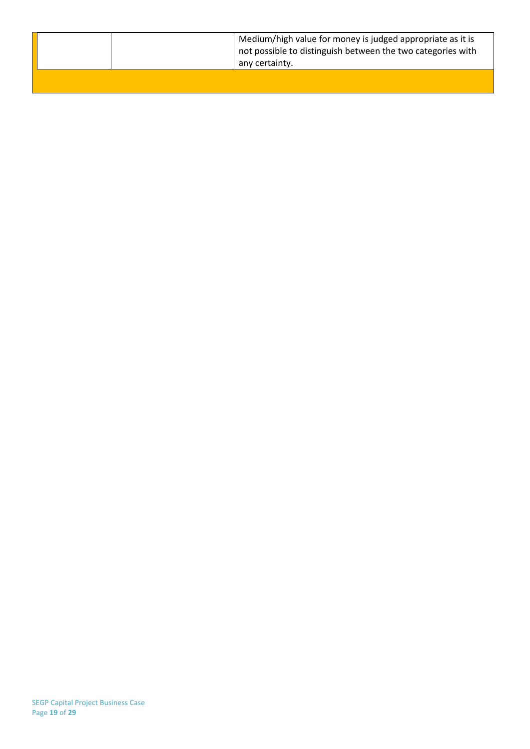|  | Medium/high value for money is judged appropriate as it is<br>not possible to distinguish between the two categories with<br>any certainty. |
|--|---------------------------------------------------------------------------------------------------------------------------------------------|
|  |                                                                                                                                             |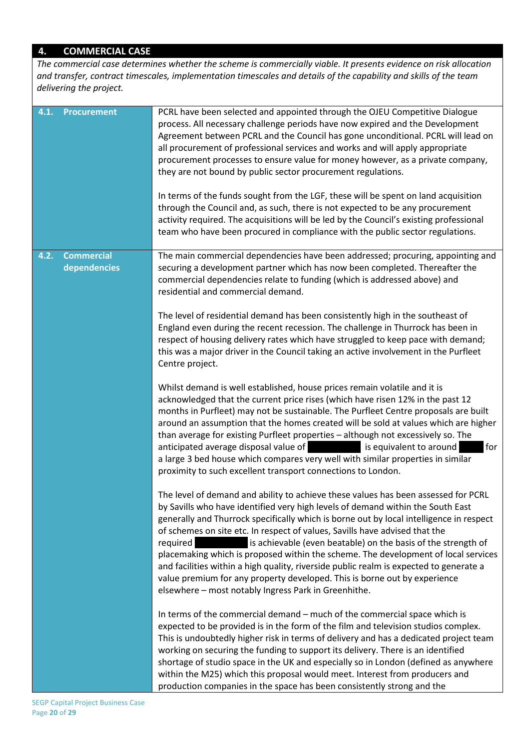## **4. COMMERCIAL CASE**

*The commercial case determines whether the scheme is commercially viable. It presents evidence on risk allocation and transfer, contract timescales, implementation timescales and details of the capability and skills of the team delivering the project.*

| 4.1. | <b>Procurement</b>                | PCRL have been selected and appointed through the OJEU Competitive Dialogue<br>process. All necessary challenge periods have now expired and the Development<br>Agreement between PCRL and the Council has gone unconditional. PCRL will lead on<br>all procurement of professional services and works and will apply appropriate<br>procurement processes to ensure value for money however, as a private company,<br>they are not bound by public sector procurement regulations.<br>In terms of the funds sought from the LGF, these will be spent on land acquisition<br>through the Council and, as such, there is not expected to be any procurement<br>activity required. The acquisitions will be led by the Council's existing professional |
|------|-----------------------------------|------------------------------------------------------------------------------------------------------------------------------------------------------------------------------------------------------------------------------------------------------------------------------------------------------------------------------------------------------------------------------------------------------------------------------------------------------------------------------------------------------------------------------------------------------------------------------------------------------------------------------------------------------------------------------------------------------------------------------------------------------|
|      |                                   | team who have been procured in compliance with the public sector regulations.                                                                                                                                                                                                                                                                                                                                                                                                                                                                                                                                                                                                                                                                        |
| 4.2. | <b>Commercial</b><br>dependencies | The main commercial dependencies have been addressed; procuring, appointing and<br>securing a development partner which has now been completed. Thereafter the<br>commercial dependencies relate to funding (which is addressed above) and<br>residential and commercial demand.                                                                                                                                                                                                                                                                                                                                                                                                                                                                     |
|      |                                   | The level of residential demand has been consistently high in the southeast of<br>England even during the recent recession. The challenge in Thurrock has been in<br>respect of housing delivery rates which have struggled to keep pace with demand;<br>this was a major driver in the Council taking an active involvement in the Purfleet<br>Centre project.                                                                                                                                                                                                                                                                                                                                                                                      |
|      |                                   | Whilst demand is well established, house prices remain volatile and it is<br>acknowledged that the current price rises (which have risen 12% in the past 12<br>months in Purfleet) may not be sustainable. The Purfleet Centre proposals are built<br>around an assumption that the homes created will be sold at values which are higher<br>than average for existing Purfleet properties - although not excessively so. The<br>anticipated average disposal value of<br>is equivalent to around<br>for<br>a large 3 bed house which compares very well with similar properties in similar<br>proximity to such excellent transport connections to London.                                                                                          |
|      |                                   | The level of demand and ability to achieve these values has been assessed for PCRL<br>by Savills who have identified very high levels of demand within the South East<br>generally and Thurrock specifically which is borne out by local intelligence in respect<br>of schemes on site etc. In respect of values, Savills have advised that the<br>is achievable (even beatable) on the basis of the strength of<br>required<br>placemaking which is proposed within the scheme. The development of local services<br>and facilities within a high quality, riverside public realm is expected to generate a<br>value premium for any property developed. This is borne out by experience<br>elsewhere - most notably Ingress Park in Greenhithe.    |
|      |                                   | In terms of the commercial demand - much of the commercial space which is<br>expected to be provided is in the form of the film and television studios complex.<br>This is undoubtedly higher risk in terms of delivery and has a dedicated project team<br>working on securing the funding to support its delivery. There is an identified<br>shortage of studio space in the UK and especially so in London (defined as anywhere<br>within the M25) which this proposal would meet. Interest from producers and<br>production companies in the space has been consistently strong and the                                                                                                                                                          |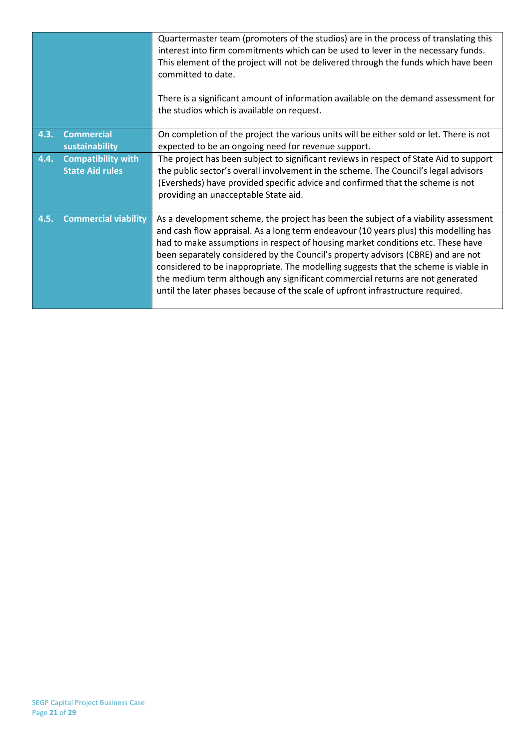|      |                                                     | Quartermaster team (promoters of the studios) are in the process of translating this<br>interest into firm commitments which can be used to lever in the necessary funds.<br>This element of the project will not be delivered through the funds which have been<br>committed to date.<br>There is a significant amount of information available on the demand assessment for<br>the studios which is available on request.                                                                                                                                                                                   |
|------|-----------------------------------------------------|---------------------------------------------------------------------------------------------------------------------------------------------------------------------------------------------------------------------------------------------------------------------------------------------------------------------------------------------------------------------------------------------------------------------------------------------------------------------------------------------------------------------------------------------------------------------------------------------------------------|
| 4.3. | <b>Commercial</b><br>sustainability                 | On completion of the project the various units will be either sold or let. There is not<br>expected to be an ongoing need for revenue support.                                                                                                                                                                                                                                                                                                                                                                                                                                                                |
| 4.4. | <b>Compatibility with</b><br><b>State Aid rules</b> | The project has been subject to significant reviews in respect of State Aid to support<br>the public sector's overall involvement in the scheme. The Council's legal advisors<br>(Eversheds) have provided specific advice and confirmed that the scheme is not<br>providing an unacceptable State aid.                                                                                                                                                                                                                                                                                                       |
| 4.5. | <b>Commercial viability</b>                         | As a development scheme, the project has been the subject of a viability assessment<br>and cash flow appraisal. As a long term endeavour (10 years plus) this modelling has<br>had to make assumptions in respect of housing market conditions etc. These have<br>been separately considered by the Council's property advisors (CBRE) and are not<br>considered to be inappropriate. The modelling suggests that the scheme is viable in<br>the medium term although any significant commercial returns are not generated<br>until the later phases because of the scale of upfront infrastructure required. |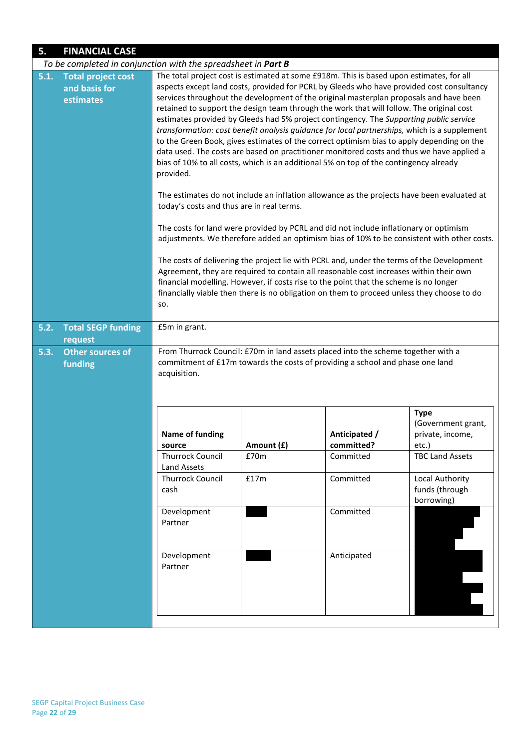| 5.   | <b>FINANCIAL CASE</b>                                         |                                                                                                                                                                                                                                                                                                                                                                                                                                                                                                                                                                                                                                                                                                                                                                                                                                                                       |            |                                                                                       |                                                                                            |  |  |  |
|------|---------------------------------------------------------------|-----------------------------------------------------------------------------------------------------------------------------------------------------------------------------------------------------------------------------------------------------------------------------------------------------------------------------------------------------------------------------------------------------------------------------------------------------------------------------------------------------------------------------------------------------------------------------------------------------------------------------------------------------------------------------------------------------------------------------------------------------------------------------------------------------------------------------------------------------------------------|------------|---------------------------------------------------------------------------------------|--------------------------------------------------------------------------------------------|--|--|--|
|      | To be completed in conjunction with the spreadsheet in Part B |                                                                                                                                                                                                                                                                                                                                                                                                                                                                                                                                                                                                                                                                                                                                                                                                                                                                       |            |                                                                                       |                                                                                            |  |  |  |
| 5.1. | <b>Total project cost</b><br>and basis for<br>estimates       | The total project cost is estimated at some £918m. This is based upon estimates, for all<br>aspects except land costs, provided for PCRL by Gleeds who have provided cost consultancy<br>services throughout the development of the original masterplan proposals and have been<br>retained to support the design team through the work that will follow. The original cost<br>estimates provided by Gleeds had 5% project contingency. The Supporting public service<br>transformation: cost benefit analysis guidance for local partnerships, which is a supplement<br>to the Green Book, gives estimates of the correct optimism bias to apply depending on the<br>data used. The costs are based on practitioner monitored costs and thus we have applied a<br>bias of 10% to all costs, which is an additional 5% on top of the contingency already<br>provided. |            |                                                                                       |                                                                                            |  |  |  |
|      |                                                               | The estimates do not include an inflation allowance as the projects have been evaluated at<br>today's costs and thus are in real terms.                                                                                                                                                                                                                                                                                                                                                                                                                                                                                                                                                                                                                                                                                                                               |            |                                                                                       |                                                                                            |  |  |  |
|      |                                                               |                                                                                                                                                                                                                                                                                                                                                                                                                                                                                                                                                                                                                                                                                                                                                                                                                                                                       |            | The costs for land were provided by PCRL and did not include inflationary or optimism | adjustments. We therefore added an optimism bias of 10% to be consistent with other costs. |  |  |  |
|      |                                                               | The costs of delivering the project lie with PCRL and, under the terms of the Development<br>Agreement, they are required to contain all reasonable cost increases within their own<br>financial modelling. However, if costs rise to the point that the scheme is no longer<br>financially viable then there is no obligation on them to proceed unless they choose to do<br>SO.                                                                                                                                                                                                                                                                                                                                                                                                                                                                                     |            |                                                                                       |                                                                                            |  |  |  |
| 5.2. | <b>Total SEGP funding</b><br>request                          | £5m in grant.                                                                                                                                                                                                                                                                                                                                                                                                                                                                                                                                                                                                                                                                                                                                                                                                                                                         |            |                                                                                       |                                                                                            |  |  |  |
| 5.3. | Other sources of<br>funding                                   | From Thurrock Council: £70m in land assets placed into the scheme together with a<br>commitment of £17m towards the costs of providing a school and phase one land<br>acquisition.                                                                                                                                                                                                                                                                                                                                                                                                                                                                                                                                                                                                                                                                                    |            |                                                                                       |                                                                                            |  |  |  |
|      |                                                               | <b>Name of funding</b><br>source                                                                                                                                                                                                                                                                                                                                                                                                                                                                                                                                                                                                                                                                                                                                                                                                                                      | Amount (£) | Anticipated /<br>committed?                                                           | <b>Type</b><br>(Government grant,<br>private, income,<br>etc.)                             |  |  |  |
|      |                                                               | <b>Thurrock Council</b><br>Land Assets                                                                                                                                                                                                                                                                                                                                                                                                                                                                                                                                                                                                                                                                                                                                                                                                                                | £70m       | Committed                                                                             | <b>TBC Land Assets</b>                                                                     |  |  |  |
|      |                                                               | <b>Thurrock Council</b><br>Committed<br>Local Authority<br>£17m<br>funds (through<br>cash<br>borrowing)                                                                                                                                                                                                                                                                                                                                                                                                                                                                                                                                                                                                                                                                                                                                                               |            |                                                                                       |                                                                                            |  |  |  |
|      |                                                               | Committed<br>Development<br>Partner<br>Development<br>Anticipated<br>Partner                                                                                                                                                                                                                                                                                                                                                                                                                                                                                                                                                                                                                                                                                                                                                                                          |            |                                                                                       |                                                                                            |  |  |  |
|      |                                                               |                                                                                                                                                                                                                                                                                                                                                                                                                                                                                                                                                                                                                                                                                                                                                                                                                                                                       |            |                                                                                       |                                                                                            |  |  |  |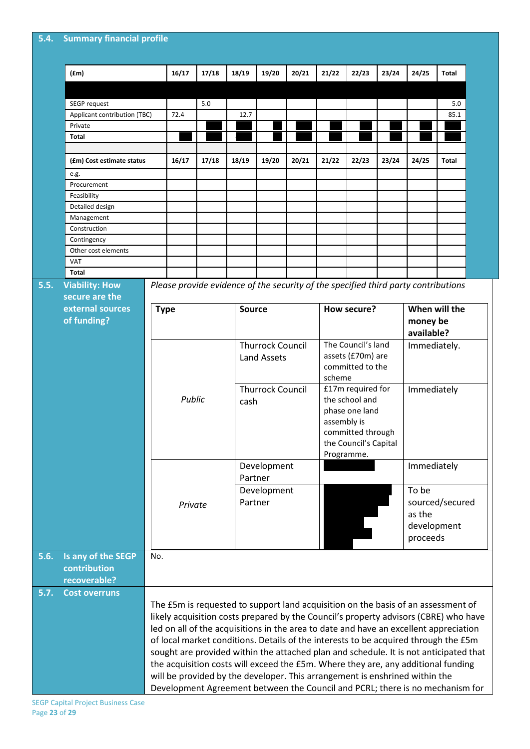| 5.4. Summary financial profile |  |
|--------------------------------|--|
|                                |  |

|      | (fm)                               |     | 16/17                                                                                                                                                                      | 17/18                                                                              | 18/19                   | 19/20                             | 20/21 | 21/22              | 22/23                                                                               | 23/24 | 24/25         | <b>Total</b>                                                                          |  |  |
|------|------------------------------------|-----|----------------------------------------------------------------------------------------------------------------------------------------------------------------------------|------------------------------------------------------------------------------------|-------------------------|-----------------------------------|-------|--------------------|-------------------------------------------------------------------------------------|-------|---------------|---------------------------------------------------------------------------------------|--|--|
|      |                                    |     |                                                                                                                                                                            |                                                                                    |                         |                                   |       |                    |                                                                                     |       |               |                                                                                       |  |  |
|      | SEGP request                       |     |                                                                                                                                                                            | 5.0                                                                                |                         |                                   |       |                    |                                                                                     |       |               | 5.0                                                                                   |  |  |
|      | Applicant contribution (TBC)       |     | 72.4                                                                                                                                                                       |                                                                                    | 12.7                    |                                   |       |                    |                                                                                     |       |               | 85.1                                                                                  |  |  |
|      | Private                            |     |                                                                                                                                                                            |                                                                                    |                         |                                   |       |                    |                                                                                     |       |               |                                                                                       |  |  |
|      | <b>Total</b>                       |     |                                                                                                                                                                            |                                                                                    |                         |                                   |       |                    |                                                                                     |       |               |                                                                                       |  |  |
|      |                                    |     |                                                                                                                                                                            |                                                                                    |                         |                                   |       |                    |                                                                                     |       |               |                                                                                       |  |  |
|      | (£m) Cost estimate status          |     | 16/17                                                                                                                                                                      | 17/18                                                                              | 18/19                   | 19/20                             | 20/21 | 21/22              | 22/23                                                                               | 23/24 | 24/25         | <b>Total</b>                                                                          |  |  |
|      | e.g.                               |     |                                                                                                                                                                            |                                                                                    |                         |                                   |       |                    |                                                                                     |       |               |                                                                                       |  |  |
|      | Procurement                        |     |                                                                                                                                                                            |                                                                                    |                         |                                   |       |                    |                                                                                     |       |               |                                                                                       |  |  |
|      | Feasibility                        |     |                                                                                                                                                                            |                                                                                    |                         |                                   |       |                    |                                                                                     |       |               |                                                                                       |  |  |
|      | Detailed design                    |     |                                                                                                                                                                            |                                                                                    |                         |                                   |       |                    |                                                                                     |       |               |                                                                                       |  |  |
|      | Management                         |     |                                                                                                                                                                            |                                                                                    |                         |                                   |       |                    |                                                                                     |       |               |                                                                                       |  |  |
|      | Construction                       |     |                                                                                                                                                                            |                                                                                    |                         |                                   |       |                    |                                                                                     |       |               |                                                                                       |  |  |
|      | Contingency<br>Other cost elements |     |                                                                                                                                                                            |                                                                                    |                         |                                   |       |                    |                                                                                     |       |               |                                                                                       |  |  |
|      | <b>VAT</b>                         |     |                                                                                                                                                                            |                                                                                    |                         |                                   |       |                    |                                                                                     |       |               |                                                                                       |  |  |
|      | <b>Total</b>                       |     |                                                                                                                                                                            |                                                                                    |                         |                                   |       |                    |                                                                                     |       |               |                                                                                       |  |  |
| 5.5. | <b>Viability: How</b>              |     |                                                                                                                                                                            | Please provide evidence of the security of the specified third party contributions |                         |                                   |       |                    |                                                                                     |       |               |                                                                                       |  |  |
|      | secure are the                     |     |                                                                                                                                                                            |                                                                                    |                         |                                   |       |                    |                                                                                     |       |               |                                                                                       |  |  |
|      | external sources                   |     |                                                                                                                                                                            |                                                                                    |                         |                                   |       |                    |                                                                                     |       |               |                                                                                       |  |  |
|      |                                    |     | <b>Type</b>                                                                                                                                                                |                                                                                    | <b>Source</b>           |                                   |       |                    | How secure?                                                                         |       | When will the |                                                                                       |  |  |
|      | of funding?                        |     |                                                                                                                                                                            |                                                                                    |                         |                                   |       |                    |                                                                                     |       | money be      |                                                                                       |  |  |
|      |                                    |     |                                                                                                                                                                            |                                                                                    |                         |                                   |       |                    |                                                                                     |       | available?    |                                                                                       |  |  |
|      |                                    |     |                                                                                                                                                                            |                                                                                    | <b>Thurrock Council</b> |                                   |       | The Council's land |                                                                                     |       | Immediately.  |                                                                                       |  |  |
|      |                                    |     |                                                                                                                                                                            |                                                                                    |                         | <b>Land Assets</b>                |       | assets (£70m) are  |                                                                                     |       |               |                                                                                       |  |  |
|      |                                    |     |                                                                                                                                                                            |                                                                                    |                         | <b>Thurrock Council</b><br>cash   |       |                    | committed to the<br>scheme<br>£17m required for<br>the school and<br>phase one land |       |               |                                                                                       |  |  |
|      |                                    |     |                                                                                                                                                                            |                                                                                    |                         |                                   |       |                    |                                                                                     |       |               |                                                                                       |  |  |
|      |                                    |     | Public                                                                                                                                                                     |                                                                                    |                         |                                   |       |                    |                                                                                     |       |               | Immediately                                                                           |  |  |
|      |                                    |     |                                                                                                                                                                            |                                                                                    |                         |                                   |       |                    |                                                                                     |       |               |                                                                                       |  |  |
|      |                                    |     |                                                                                                                                                                            |                                                                                    |                         |                                   |       | assembly is        |                                                                                     |       |               |                                                                                       |  |  |
|      |                                    |     |                                                                                                                                                                            |                                                                                    |                         |                                   |       |                    | committed through                                                                   |       |               |                                                                                       |  |  |
|      |                                    |     |                                                                                                                                                                            |                                                                                    |                         |                                   |       |                    | the Council's Capital<br>Programme.                                                 |       |               |                                                                                       |  |  |
|      |                                    |     |                                                                                                                                                                            |                                                                                    |                         |                                   |       |                    |                                                                                     |       |               |                                                                                       |  |  |
|      |                                    |     |                                                                                                                                                                            |                                                                                    |                         | Development                       |       |                    |                                                                                     |       | Immediately   |                                                                                       |  |  |
|      |                                    |     |                                                                                                                                                                            |                                                                                    |                         | Partner<br>Development<br>Partner |       |                    |                                                                                     |       |               |                                                                                       |  |  |
|      |                                    |     |                                                                                                                                                                            |                                                                                    |                         |                                   |       |                    |                                                                                     |       | To be         |                                                                                       |  |  |
|      |                                    |     | Private                                                                                                                                                                    |                                                                                    |                         |                                   |       |                    |                                                                                     |       |               | sourced/secured                                                                       |  |  |
|      |                                    |     |                                                                                                                                                                            |                                                                                    |                         |                                   |       |                    |                                                                                     |       | as the        |                                                                                       |  |  |
|      |                                    |     |                                                                                                                                                                            |                                                                                    |                         |                                   |       |                    |                                                                                     |       |               | development                                                                           |  |  |
|      |                                    |     |                                                                                                                                                                            |                                                                                    |                         |                                   |       |                    |                                                                                     |       | proceeds      |                                                                                       |  |  |
|      |                                    |     |                                                                                                                                                                            |                                                                                    |                         |                                   |       |                    |                                                                                     |       |               |                                                                                       |  |  |
| 5.6. | Is any of the SEGP                 | No. |                                                                                                                                                                            |                                                                                    |                         |                                   |       |                    |                                                                                     |       |               |                                                                                       |  |  |
|      | contribution                       |     |                                                                                                                                                                            |                                                                                    |                         |                                   |       |                    |                                                                                     |       |               |                                                                                       |  |  |
|      | recoverable?                       |     |                                                                                                                                                                            |                                                                                    |                         |                                   |       |                    |                                                                                     |       |               |                                                                                       |  |  |
| 5.7. | <b>Cost overruns</b>               |     |                                                                                                                                                                            |                                                                                    |                         |                                   |       |                    |                                                                                     |       |               |                                                                                       |  |  |
|      |                                    |     |                                                                                                                                                                            |                                                                                    |                         |                                   |       |                    |                                                                                     |       |               | The £5m is requested to support land acquisition on the basis of an assessment of     |  |  |
|      |                                    |     |                                                                                                                                                                            |                                                                                    |                         |                                   |       |                    |                                                                                     |       |               | likely acquisition costs prepared by the Council's property advisors (CBRE) who have  |  |  |
|      |                                    |     |                                                                                                                                                                            |                                                                                    |                         |                                   |       |                    |                                                                                     |       |               | led on all of the acquisitions in the area to date and have an excellent appreciation |  |  |
|      |                                    |     |                                                                                                                                                                            |                                                                                    |                         |                                   |       |                    |                                                                                     |       |               | of local market conditions. Details of the interests to be acquired through the £5m   |  |  |
|      |                                    |     |                                                                                                                                                                            |                                                                                    |                         |                                   |       |                    |                                                                                     |       |               |                                                                                       |  |  |
|      |                                    |     | sought are provided within the attached plan and schedule. It is not anticipated that<br>the acquisition costs will exceed the £5m. Where they are, any additional funding |                                                                                    |                         |                                   |       |                    |                                                                                     |       |               |                                                                                       |  |  |
|      |                                    |     |                                                                                                                                                                            |                                                                                    |                         |                                   |       |                    |                                                                                     |       |               |                                                                                       |  |  |
|      |                                    |     |                                                                                                                                                                            | will be provided by the developer. This arrangement is enshrined within the        |                         |                                   |       |                    |                                                                                     |       |               |                                                                                       |  |  |

SEGP Capital Project Business Case Page **23** of **29**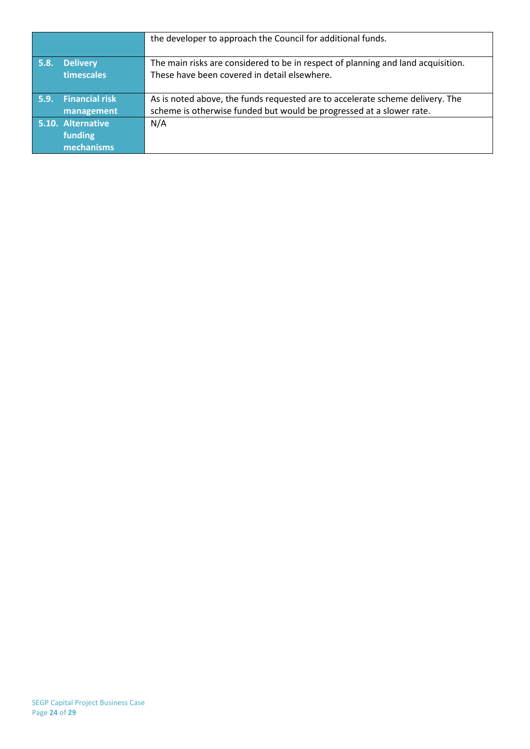|      |                                            | the developer to approach the Council for additional funds.                                                                                           |
|------|--------------------------------------------|-------------------------------------------------------------------------------------------------------------------------------------------------------|
| 5.8. | <b>Delivery</b><br>timescales              | The main risks are considered to be in respect of planning and land acquisition.<br>These have been covered in detail elsewhere.                      |
| 5.9. | <b>Financial risk</b><br>management        | As is noted above, the funds requested are to accelerate scheme delivery. The<br>scheme is otherwise funded but would be progressed at a slower rate. |
|      | 5.10. Alternative<br>funding<br>mechanisms | N/A                                                                                                                                                   |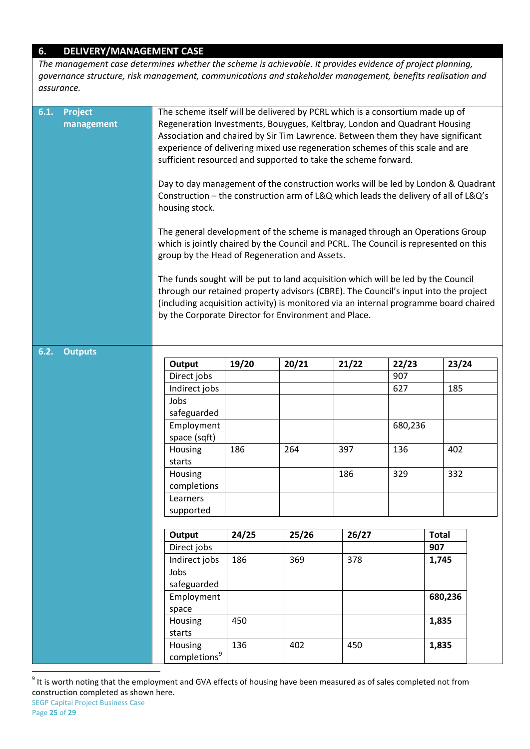## **6. DELIVERY/MANAGEMENT CASE**

*The management case determines whether the scheme is achievable. It provides evidence of project planning, governance structure, risk management, communications and stakeholder management, benefits realisation and assurance.*

| 6.1. | <b>Project</b><br>management | The scheme itself will be delivered by PCRL which is a consortium made up of<br>Regeneration Investments, Bouygues, Keltbray, London and Quadrant Housing<br>Association and chaired by Sir Tim Lawrence. Between them they have significant<br>experience of delivering mixed use regeneration schemes of this scale and are<br>sufficient resourced and supported to take the scheme forward.<br>Day to day management of the construction works will be led by London & Quadrant<br>Construction - the construction arm of L&Q which leads the delivery of all of L&Q's<br>housing stock.<br>The general development of the scheme is managed through an Operations Group<br>which is jointly chaired by the Council and PCRL. The Council is represented on this<br>group by the Head of Regeneration and Assets.<br>The funds sought will be put to land acquisition which will be led by the Council<br>through our retained property advisors (CBRE). The Council's input into the project<br>(including acquisition activity) is monitored via an internal programme board chaired<br>by the Corporate Director for Environment and Place. |                          |       |       |       |         |              |         |  |
|------|------------------------------|----------------------------------------------------------------------------------------------------------------------------------------------------------------------------------------------------------------------------------------------------------------------------------------------------------------------------------------------------------------------------------------------------------------------------------------------------------------------------------------------------------------------------------------------------------------------------------------------------------------------------------------------------------------------------------------------------------------------------------------------------------------------------------------------------------------------------------------------------------------------------------------------------------------------------------------------------------------------------------------------------------------------------------------------------------------------------------------------------------------------------------------------------|--------------------------|-------|-------|-------|---------|--------------|---------|--|
| 6.2. | <b>Outputs</b>               |                                                                                                                                                                                                                                                                                                                                                                                                                                                                                                                                                                                                                                                                                                                                                                                                                                                                                                                                                                                                                                                                                                                                                    |                          |       |       |       |         |              |         |  |
|      |                              |                                                                                                                                                                                                                                                                                                                                                                                                                                                                                                                                                                                                                                                                                                                                                                                                                                                                                                                                                                                                                                                                                                                                                    | Output                   | 19/20 | 20/21 | 21/22 | 22/23   |              | 23/24   |  |
|      |                              |                                                                                                                                                                                                                                                                                                                                                                                                                                                                                                                                                                                                                                                                                                                                                                                                                                                                                                                                                                                                                                                                                                                                                    | Direct jobs              |       |       |       | 907     |              |         |  |
|      |                              |                                                                                                                                                                                                                                                                                                                                                                                                                                                                                                                                                                                                                                                                                                                                                                                                                                                                                                                                                                                                                                                                                                                                                    | Indirect jobs            |       |       |       | 627     |              | 185     |  |
|      |                              |                                                                                                                                                                                                                                                                                                                                                                                                                                                                                                                                                                                                                                                                                                                                                                                                                                                                                                                                                                                                                                                                                                                                                    | Jobs                     |       |       |       |         |              |         |  |
|      |                              |                                                                                                                                                                                                                                                                                                                                                                                                                                                                                                                                                                                                                                                                                                                                                                                                                                                                                                                                                                                                                                                                                                                                                    |                          |       |       |       |         |              |         |  |
|      |                              |                                                                                                                                                                                                                                                                                                                                                                                                                                                                                                                                                                                                                                                                                                                                                                                                                                                                                                                                                                                                                                                                                                                                                    | safeguarded              |       |       |       |         |              |         |  |
|      |                              |                                                                                                                                                                                                                                                                                                                                                                                                                                                                                                                                                                                                                                                                                                                                                                                                                                                                                                                                                                                                                                                                                                                                                    | Employment               |       |       |       | 680,236 |              |         |  |
|      |                              |                                                                                                                                                                                                                                                                                                                                                                                                                                                                                                                                                                                                                                                                                                                                                                                                                                                                                                                                                                                                                                                                                                                                                    | space (sqft)             |       |       |       |         |              |         |  |
|      |                              |                                                                                                                                                                                                                                                                                                                                                                                                                                                                                                                                                                                                                                                                                                                                                                                                                                                                                                                                                                                                                                                                                                                                                    | Housing                  | 186   | 264   | 397   | 136     |              | 402     |  |
|      |                              |                                                                                                                                                                                                                                                                                                                                                                                                                                                                                                                                                                                                                                                                                                                                                                                                                                                                                                                                                                                                                                                                                                                                                    | starts                   |       |       |       |         |              |         |  |
|      |                              |                                                                                                                                                                                                                                                                                                                                                                                                                                                                                                                                                                                                                                                                                                                                                                                                                                                                                                                                                                                                                                                                                                                                                    | Housing                  |       |       | 186   | 329     |              | 332     |  |
|      |                              |                                                                                                                                                                                                                                                                                                                                                                                                                                                                                                                                                                                                                                                                                                                                                                                                                                                                                                                                                                                                                                                                                                                                                    | completions              |       |       |       |         |              |         |  |
|      |                              |                                                                                                                                                                                                                                                                                                                                                                                                                                                                                                                                                                                                                                                                                                                                                                                                                                                                                                                                                                                                                                                                                                                                                    | Learners                 |       |       |       |         |              |         |  |
|      |                              |                                                                                                                                                                                                                                                                                                                                                                                                                                                                                                                                                                                                                                                                                                                                                                                                                                                                                                                                                                                                                                                                                                                                                    | supported                |       |       |       |         |              |         |  |
|      |                              |                                                                                                                                                                                                                                                                                                                                                                                                                                                                                                                                                                                                                                                                                                                                                                                                                                                                                                                                                                                                                                                                                                                                                    |                          |       |       |       |         |              |         |  |
|      |                              |                                                                                                                                                                                                                                                                                                                                                                                                                                                                                                                                                                                                                                                                                                                                                                                                                                                                                                                                                                                                                                                                                                                                                    | Output                   | 24/25 | 25/26 | 26/27 |         | <b>Total</b> |         |  |
|      |                              |                                                                                                                                                                                                                                                                                                                                                                                                                                                                                                                                                                                                                                                                                                                                                                                                                                                                                                                                                                                                                                                                                                                                                    | Direct jobs              |       |       |       |         | 907          |         |  |
|      |                              |                                                                                                                                                                                                                                                                                                                                                                                                                                                                                                                                                                                                                                                                                                                                                                                                                                                                                                                                                                                                                                                                                                                                                    | Indirect jobs            | 186   | 369   | 378   |         | 1,745        |         |  |
|      |                              |                                                                                                                                                                                                                                                                                                                                                                                                                                                                                                                                                                                                                                                                                                                                                                                                                                                                                                                                                                                                                                                                                                                                                    | Jobs                     |       |       |       |         |              |         |  |
|      |                              |                                                                                                                                                                                                                                                                                                                                                                                                                                                                                                                                                                                                                                                                                                                                                                                                                                                                                                                                                                                                                                                                                                                                                    | safeguarded              |       |       |       |         |              |         |  |
|      |                              |                                                                                                                                                                                                                                                                                                                                                                                                                                                                                                                                                                                                                                                                                                                                                                                                                                                                                                                                                                                                                                                                                                                                                    | Employment               |       |       |       |         |              | 680,236 |  |
|      |                              |                                                                                                                                                                                                                                                                                                                                                                                                                                                                                                                                                                                                                                                                                                                                                                                                                                                                                                                                                                                                                                                                                                                                                    | space                    |       |       |       |         |              |         |  |
|      |                              |                                                                                                                                                                                                                                                                                                                                                                                                                                                                                                                                                                                                                                                                                                                                                                                                                                                                                                                                                                                                                                                                                                                                                    | Housing                  | 450   |       |       |         | 1,835        |         |  |
|      |                              |                                                                                                                                                                                                                                                                                                                                                                                                                                                                                                                                                                                                                                                                                                                                                                                                                                                                                                                                                                                                                                                                                                                                                    | starts                   |       |       |       |         |              |         |  |
|      |                              |                                                                                                                                                                                                                                                                                                                                                                                                                                                                                                                                                                                                                                                                                                                                                                                                                                                                                                                                                                                                                                                                                                                                                    | Housing                  | 136   | 402   | 450   |         | 1,835        |         |  |
|      |                              |                                                                                                                                                                                                                                                                                                                                                                                                                                                                                                                                                                                                                                                                                                                                                                                                                                                                                                                                                                                                                                                                                                                                                    | completions <sup>9</sup> |       |       |       |         |              |         |  |

 $9$  It is worth noting that the employment and GVA effects of housing have been measured as of sales completed not from construction completed as shown here.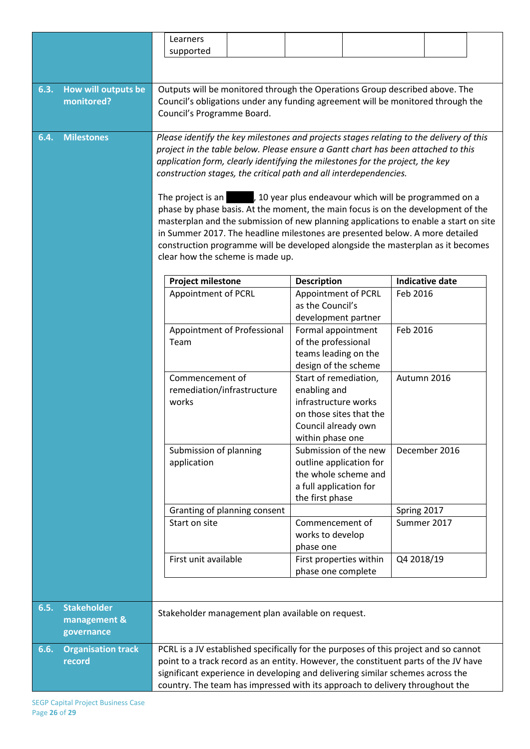|      |                           |                                                                              | Learners                                                                                                                                                                     |  |                                                        |  |             |                        |  |
|------|---------------------------|------------------------------------------------------------------------------|------------------------------------------------------------------------------------------------------------------------------------------------------------------------------|--|--------------------------------------------------------|--|-------------|------------------------|--|
|      |                           |                                                                              | supported                                                                                                                                                                    |  |                                                        |  |             |                        |  |
|      |                           |                                                                              |                                                                                                                                                                              |  |                                                        |  |             |                        |  |
|      |                           |                                                                              |                                                                                                                                                                              |  |                                                        |  |             |                        |  |
| 6.3. | How will outputs be       |                                                                              | Outputs will be monitored through the Operations Group described above. The                                                                                                  |  |                                                        |  |             |                        |  |
|      | monitored?                |                                                                              | Council's obligations under any funding agreement will be monitored through the                                                                                              |  |                                                        |  |             |                        |  |
|      |                           |                                                                              | Council's Programme Board.                                                                                                                                                   |  |                                                        |  |             |                        |  |
|      |                           |                                                                              |                                                                                                                                                                              |  |                                                        |  |             |                        |  |
| 6.4. | <b>Milestones</b>         |                                                                              | Please identify the key milestones and projects stages relating to the delivery of this<br>project in the table below. Please ensure a Gantt chart has been attached to this |  |                                                        |  |             |                        |  |
|      |                           |                                                                              | application form, clearly identifying the milestones for the project, the key                                                                                                |  |                                                        |  |             |                        |  |
|      |                           |                                                                              | construction stages, the critical path and all interdependencies.                                                                                                            |  |                                                        |  |             |                        |  |
|      |                           |                                                                              |                                                                                                                                                                              |  |                                                        |  |             |                        |  |
|      |                           |                                                                              | The project is an                                                                                                                                                            |  | , 10 year plus endeavour which will be programmed on a |  |             |                        |  |
|      |                           |                                                                              | phase by phase basis. At the moment, the main focus is on the development of the                                                                                             |  |                                                        |  |             |                        |  |
|      |                           |                                                                              | masterplan and the submission of new planning applications to enable a start on site                                                                                         |  |                                                        |  |             |                        |  |
|      |                           |                                                                              | in Summer 2017. The headline milestones are presented below. A more detailed                                                                                                 |  |                                                        |  |             |                        |  |
|      |                           |                                                                              | construction programme will be developed alongside the masterplan as it becomes                                                                                              |  |                                                        |  |             |                        |  |
|      |                           |                                                                              | clear how the scheme is made up.                                                                                                                                             |  |                                                        |  |             |                        |  |
|      |                           |                                                                              |                                                                                                                                                                              |  |                                                        |  |             |                        |  |
|      |                           |                                                                              | <b>Project milestone</b>                                                                                                                                                     |  | <b>Description</b>                                     |  |             | <b>Indicative date</b> |  |
|      |                           |                                                                              | Appointment of PCRL                                                                                                                                                          |  | Appointment of PCRL<br>as the Council's                |  | Feb 2016    |                        |  |
|      |                           |                                                                              |                                                                                                                                                                              |  |                                                        |  |             |                        |  |
|      |                           |                                                                              | Appointment of Professional                                                                                                                                                  |  | development partner<br>Formal appointment              |  | Feb 2016    |                        |  |
|      |                           |                                                                              | Team                                                                                                                                                                         |  | of the professional                                    |  |             |                        |  |
|      |                           |                                                                              |                                                                                                                                                                              |  | teams leading on the                                   |  |             |                        |  |
|      |                           |                                                                              |                                                                                                                                                                              |  | design of the scheme                                   |  |             |                        |  |
|      |                           |                                                                              | Commencement of                                                                                                                                                              |  | Start of remediation,                                  |  | Autumn 2016 |                        |  |
|      |                           |                                                                              | remediation/infrastructure                                                                                                                                                   |  | enabling and                                           |  |             |                        |  |
|      |                           |                                                                              | works                                                                                                                                                                        |  | infrastructure works                                   |  |             |                        |  |
|      |                           |                                                                              |                                                                                                                                                                              |  | on those sites that the                                |  |             |                        |  |
|      |                           |                                                                              |                                                                                                                                                                              |  | Council already own                                    |  |             |                        |  |
|      |                           |                                                                              |                                                                                                                                                                              |  | within phase one                                       |  |             |                        |  |
|      |                           |                                                                              | Submission of planning                                                                                                                                                       |  | Submission of the new                                  |  |             | December 2016          |  |
|      |                           |                                                                              | application                                                                                                                                                                  |  | outline application for                                |  |             |                        |  |
|      |                           |                                                                              |                                                                                                                                                                              |  | the whole scheme and                                   |  |             |                        |  |
|      |                           |                                                                              |                                                                                                                                                                              |  | a full application for<br>the first phase              |  |             |                        |  |
|      |                           |                                                                              | Granting of planning consent                                                                                                                                                 |  |                                                        |  | Spring 2017 |                        |  |
|      |                           |                                                                              | Start on site                                                                                                                                                                |  | Commencement of                                        |  |             | Summer 2017            |  |
|      |                           |                                                                              |                                                                                                                                                                              |  | works to develop                                       |  |             |                        |  |
|      |                           |                                                                              |                                                                                                                                                                              |  | phase one                                              |  |             |                        |  |
|      |                           |                                                                              | First unit available                                                                                                                                                         |  | First properties within                                |  | Q4 2018/19  |                        |  |
|      |                           |                                                                              |                                                                                                                                                                              |  | phase one complete                                     |  |             |                        |  |
|      |                           |                                                                              |                                                                                                                                                                              |  |                                                        |  |             |                        |  |
|      |                           |                                                                              |                                                                                                                                                                              |  |                                                        |  |             |                        |  |
| 6.5. | <b>Stakeholder</b>        |                                                                              | Stakeholder management plan available on request.                                                                                                                            |  |                                                        |  |             |                        |  |
|      | management &              |                                                                              |                                                                                                                                                                              |  |                                                        |  |             |                        |  |
|      | governance                |                                                                              |                                                                                                                                                                              |  |                                                        |  |             |                        |  |
| 6.6. | <b>Organisation track</b> |                                                                              | PCRL is a JV established specifically for the purposes of this project and so cannot                                                                                         |  |                                                        |  |             |                        |  |
|      | record                    |                                                                              | point to a track record as an entity. However, the constituent parts of the JV have                                                                                          |  |                                                        |  |             |                        |  |
|      |                           |                                                                              | significant experience in developing and delivering similar schemes across the                                                                                               |  |                                                        |  |             |                        |  |
|      |                           | country. The team has impressed with its approach to delivery throughout the |                                                                                                                                                                              |  |                                                        |  |             |                        |  |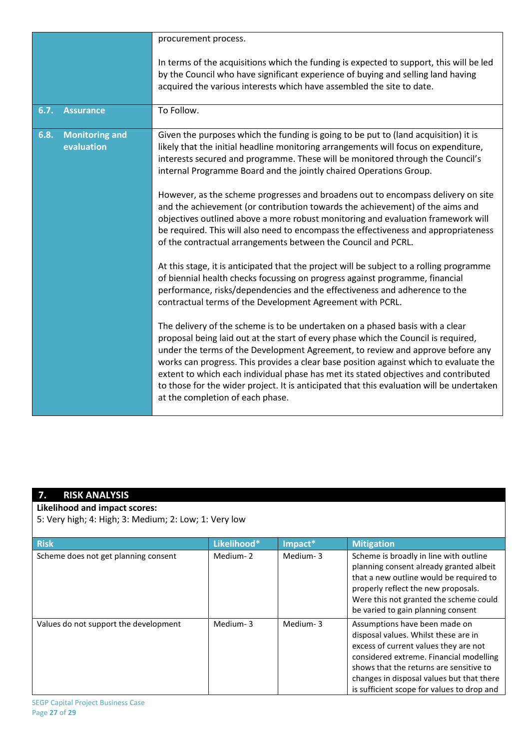|      |                                     | procurement process.                                                                                                                                                                                                                                                                                                                                                                                                                                                                                                                                                   |
|------|-------------------------------------|------------------------------------------------------------------------------------------------------------------------------------------------------------------------------------------------------------------------------------------------------------------------------------------------------------------------------------------------------------------------------------------------------------------------------------------------------------------------------------------------------------------------------------------------------------------------|
|      |                                     | In terms of the acquisitions which the funding is expected to support, this will be led<br>by the Council who have significant experience of buying and selling land having<br>acquired the various interests which have assembled the site to date.                                                                                                                                                                                                                                                                                                                   |
| 6.7. | <b>Assurance</b>                    | To Follow.                                                                                                                                                                                                                                                                                                                                                                                                                                                                                                                                                             |
| 6.8. | <b>Monitoring and</b><br>evaluation | Given the purposes which the funding is going to be put to (land acquisition) it is<br>likely that the initial headline monitoring arrangements will focus on expenditure,<br>interests secured and programme. These will be monitored through the Council's<br>internal Programme Board and the jointly chaired Operations Group.                                                                                                                                                                                                                                     |
|      |                                     | However, as the scheme progresses and broadens out to encompass delivery on site<br>and the achievement (or contribution towards the achievement) of the aims and<br>objectives outlined above a more robust monitoring and evaluation framework will<br>be required. This will also need to encompass the effectiveness and appropriateness<br>of the contractual arrangements between the Council and PCRL.                                                                                                                                                          |
|      |                                     | At this stage, it is anticipated that the project will be subject to a rolling programme<br>of biennial health checks focussing on progress against programme, financial<br>performance, risks/dependencies and the effectiveness and adherence to the<br>contractual terms of the Development Agreement with PCRL.                                                                                                                                                                                                                                                    |
|      |                                     | The delivery of the scheme is to be undertaken on a phased basis with a clear<br>proposal being laid out at the start of every phase which the Council is required,<br>under the terms of the Development Agreement, to review and approve before any<br>works can progress. This provides a clear base position against which to evaluate the<br>extent to which each individual phase has met its stated objectives and contributed<br>to those for the wider project. It is anticipated that this evaluation will be undertaken<br>at the completion of each phase. |

# **7. RISK ANALYSIS**

**Likelihood and impact scores:**

5: Very high; 4: High; 3: Medium; 2: Low; 1: Very low

| <b>Risk</b>                           | Likelihood* | Impact*  | <b>Mitigation</b>                                                                                                                                                                                                                                                                               |
|---------------------------------------|-------------|----------|-------------------------------------------------------------------------------------------------------------------------------------------------------------------------------------------------------------------------------------------------------------------------------------------------|
| Scheme does not get planning consent  | Medium-2    | Medium-3 | Scheme is broadly in line with outline<br>planning consent already granted albeit<br>that a new outline would be required to<br>properly reflect the new proposals.<br>Were this not granted the scheme could<br>be varied to gain planning consent                                             |
| Values do not support the development | Medium-3    | Medium-3 | Assumptions have been made on<br>disposal values. Whilst these are in<br>excess of current values they are not<br>considered extreme. Financial modelling<br>shows that the returns are sensitive to<br>changes in disposal values but that there<br>is sufficient scope for values to drop and |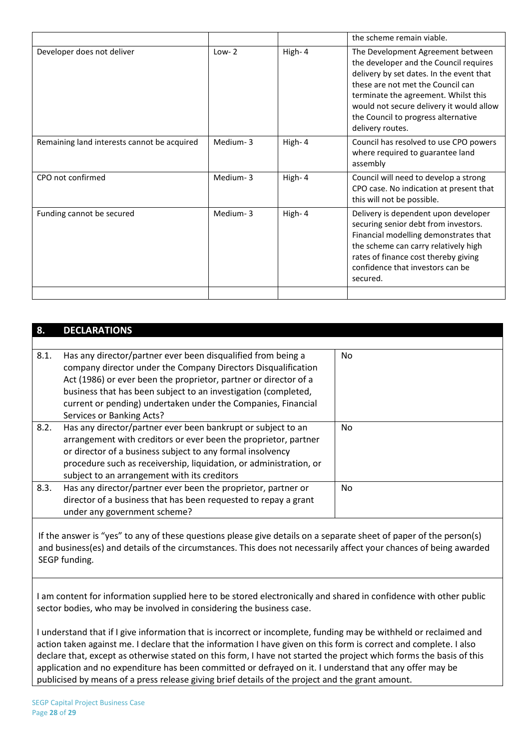|                                             |          |        | the scheme remain viable.                                                                                                                                                                                                                                                                                   |
|---------------------------------------------|----------|--------|-------------------------------------------------------------------------------------------------------------------------------------------------------------------------------------------------------------------------------------------------------------------------------------------------------------|
| Developer does not deliver                  | $Low-2$  | High-4 | The Development Agreement between<br>the developer and the Council requires<br>delivery by set dates. In the event that<br>these are not met the Council can<br>terminate the agreement. Whilst this<br>would not secure delivery it would allow<br>the Council to progress alternative<br>delivery routes. |
| Remaining land interests cannot be acquired | Medium-3 | High-4 | Council has resolved to use CPO powers<br>where required to guarantee land<br>assembly                                                                                                                                                                                                                      |
| CPO not confirmed                           | Medium-3 | High-4 | Council will need to develop a strong<br>CPO case. No indication at present that<br>this will not be possible.                                                                                                                                                                                              |
| Funding cannot be secured                   | Medium-3 | High-4 | Delivery is dependent upon developer<br>securing senior debt from investors.<br>Financial modelling demonstrates that<br>the scheme can carry relatively high<br>rates of finance cost thereby giving<br>confidence that investors can be<br>secured.                                                       |
|                                             |          |        |                                                                                                                                                                                                                                                                                                             |

| 8.   | <b>DECLARATIONS</b>                                                                                                                                                                                                                                                                                                                                               |                |
|------|-------------------------------------------------------------------------------------------------------------------------------------------------------------------------------------------------------------------------------------------------------------------------------------------------------------------------------------------------------------------|----------------|
|      |                                                                                                                                                                                                                                                                                                                                                                   |                |
| 8.1. | Has any director/partner ever been disqualified from being a<br>company director under the Company Directors Disqualification<br>Act (1986) or ever been the proprietor, partner or director of a<br>business that has been subject to an investigation (completed,<br>current or pending) undertaken under the Companies, Financial<br>Services or Banking Acts? | No.            |
| 8.2. | Has any director/partner ever been bankrupt or subject to an<br>arrangement with creditors or ever been the proprietor, partner<br>or director of a business subject to any formal insolvency<br>procedure such as receivership, liquidation, or administration, or<br>subject to an arrangement with its creditors                                               | No.            |
| 8.3. | Has any director/partner ever been the proprietor, partner or<br>director of a business that has been requested to repay a grant<br>under any government scheme?                                                                                                                                                                                                  | N <sub>0</sub> |

If the answer is "yes" to any of these questions please give details on a separate sheet of paper of the person(s) and business(es) and details of the circumstances. This does not necessarily affect your chances of being awarded SEGP funding.

I am content for information supplied here to be stored electronically and shared in confidence with other public sector bodies, who may be involved in considering the business case.

I understand that if I give information that is incorrect or incomplete, funding may be withheld or reclaimed and action taken against me. I declare that the information I have given on this form is correct and complete. I also declare that, except as otherwise stated on this form, I have not started the project which forms the basis of this application and no expenditure has been committed or defrayed on it. I understand that any offer may be publicised by means of a press release giving brief details of the project and the grant amount.